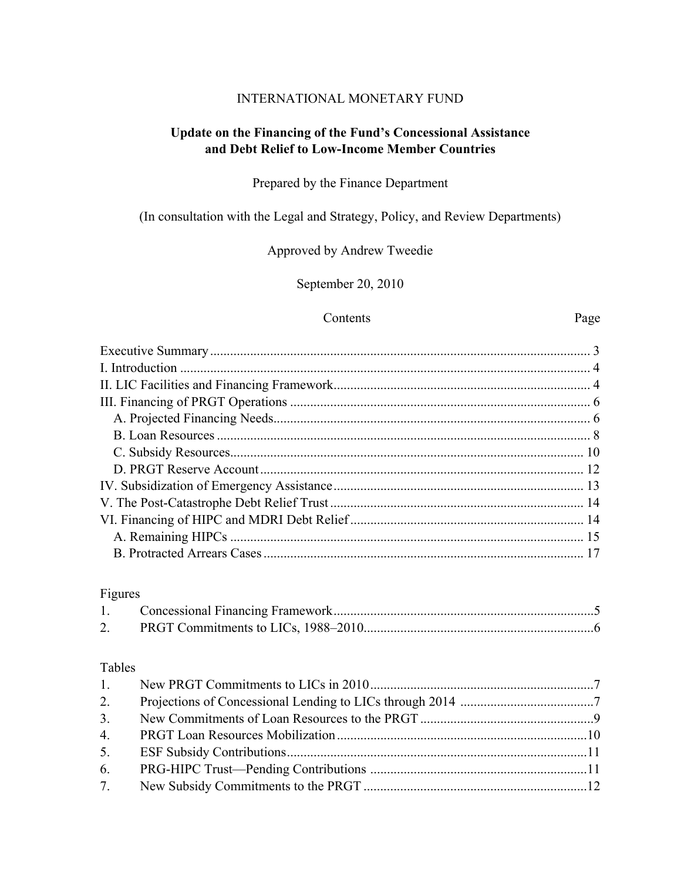#### INTERNATIONAL MONETARY FUND

## **Update on the Financing of the Fund's Concessional Assistance and Debt Relief to Low-Income Member Countries**

Prepared by the Finance Department

(In consultation with the Legal and Strategy, Policy, and Review Departments)

Approved by Andrew Tweedie

September 20, 2010

#### Contents Page

## Figures

## Tables

| 1. |  |
|----|--|
| 2. |  |
| 3. |  |
|    |  |
| 5. |  |
|    |  |
| 7. |  |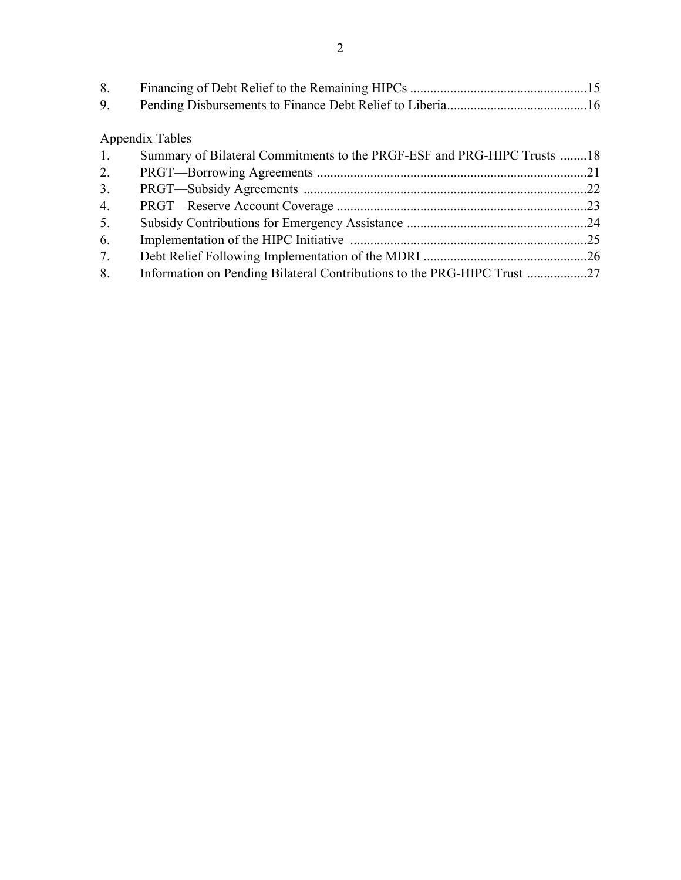| 8. |  |
|----|--|
|    |  |

# Appendix Tables

| 1. | Summary of Bilateral Commitments to the PRGF-ESF and PRG-HIPC Trusts 18 |  |
|----|-------------------------------------------------------------------------|--|
| 2. |                                                                         |  |
| 3. |                                                                         |  |
| 4. |                                                                         |  |
| 5. |                                                                         |  |
| 6. |                                                                         |  |
| 7. |                                                                         |  |
| 8. |                                                                         |  |
|    |                                                                         |  |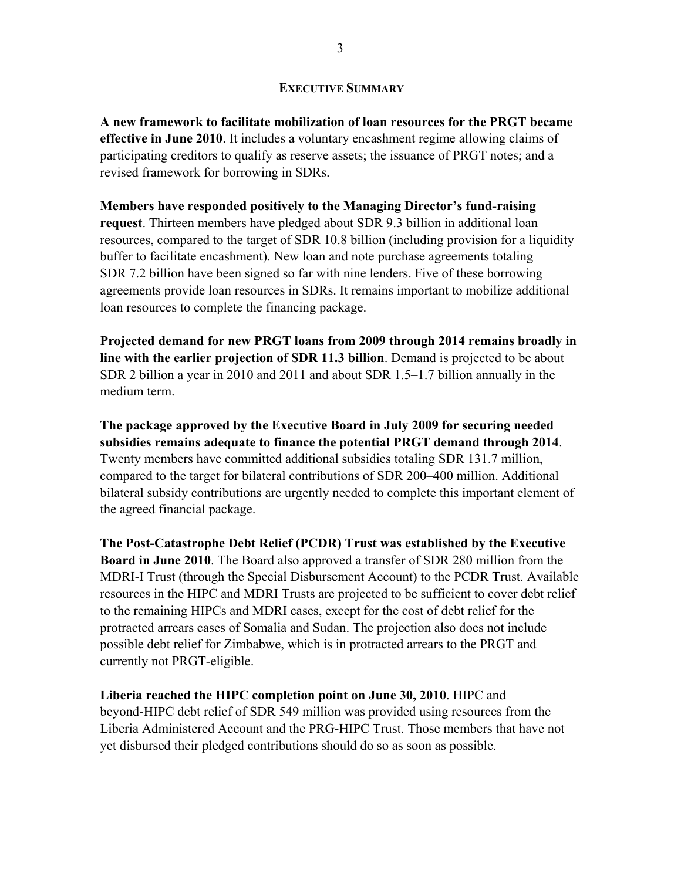## **EXECUTIVE SUMMARY**

**A new framework to facilitate mobilization of loan resources for the PRGT became effective in June 2010**. It includes a voluntary encashment regime allowing claims of participating creditors to qualify as reserve assets; the issuance of PRGT notes; and a revised framework for borrowing in SDRs.

**Members have responded positively to the Managing Director's fund-raising request**. Thirteen members have pledged about SDR 9.3 billion in additional loan resources, compared to the target of SDR 10.8 billion (including provision for a liquidity buffer to facilitate encashment). New loan and note purchase agreements totaling SDR 7.2 billion have been signed so far with nine lenders. Five of these borrowing agreements provide loan resources in SDRs. It remains important to mobilize additional loan resources to complete the financing package.

**Projected demand for new PRGT loans from 2009 through 2014 remains broadly in line with the earlier projection of SDR 11.3 billion**. Demand is projected to be about SDR 2 billion a year in 2010 and 2011 and about SDR 1.5–1.7 billion annually in the medium term.

**The package approved by the Executive Board in July 2009 for securing needed subsidies remains adequate to finance the potential PRGT demand through 2014**. Twenty members have committed additional subsidies totaling SDR 131.7 million, compared to the target for bilateral contributions of SDR 200–400 million. Additional bilateral subsidy contributions are urgently needed to complete this important element of the agreed financial package.

**The Post-Catastrophe Debt Relief (PCDR) Trust was established by the Executive Board in June 2010**. The Board also approved a transfer of SDR 280 million from the MDRI-I Trust (through the Special Disbursement Account) to the PCDR Trust. Available resources in the HIPC and MDRI Trusts are projected to be sufficient to cover debt relief to the remaining HIPCs and MDRI cases, except for the cost of debt relief for the protracted arrears cases of Somalia and Sudan. The projection also does not include possible debt relief for Zimbabwe, which is in protracted arrears to the PRGT and currently not PRGT-eligible.

**Liberia reached the HIPC completion point on June 30, 2010**. HIPC and beyond-HIPC debt relief of SDR 549 million was provided using resources from the Liberia Administered Account and the PRG-HIPC Trust. Those members that have not yet disbursed their pledged contributions should do so as soon as possible.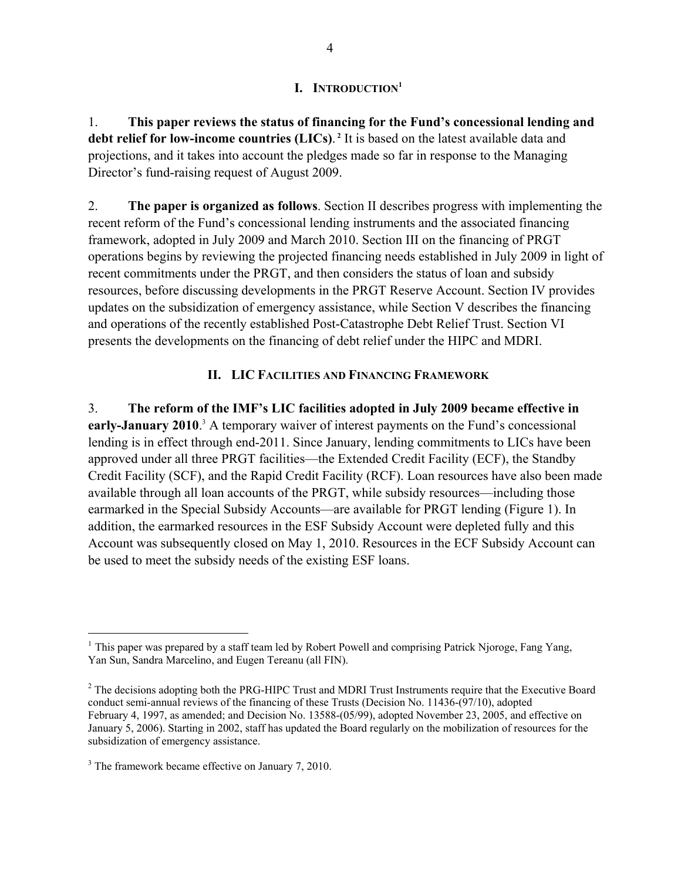## **I. INTRODUCTION1**

1. **This paper reviews the status of financing for the Fund's concessional lending and debt relief for low-income countries (LICs)**. **<sup>2</sup>** It is based on the latest available data and projections, and it takes into account the pledges made so far in response to the Managing Director's fund-raising request of August 2009.

2. **The paper is organized as follows**. Section II describes progress with implementing the recent reform of the Fund's concessional lending instruments and the associated financing framework, adopted in July 2009 and March 2010. Section III on the financing of PRGT operations begins by reviewing the projected financing needs established in July 2009 in light of recent commitments under the PRGT, and then considers the status of loan and subsidy resources, before discussing developments in the PRGT Reserve Account. Section IV provides updates on the subsidization of emergency assistance, while Section V describes the financing and operations of the recently established Post-Catastrophe Debt Relief Trust. Section VI presents the developments on the financing of debt relief under the HIPC and MDRI.

## **II. LIC FACILITIES AND FINANCING FRAMEWORK**

3. **The reform of the IMF's LIC facilities adopted in July 2009 became effective in**  early-January 2010.<sup>3</sup> A temporary waiver of interest payments on the Fund's concessional lending is in effect through end-2011. Since January, lending commitments to LICs have been approved under all three PRGT facilities—the Extended Credit Facility (ECF), the Standby Credit Facility (SCF), and the Rapid Credit Facility (RCF). Loan resources have also been made available through all loan accounts of the PRGT, while subsidy resources—including those earmarked in the Special Subsidy Accounts—are available for PRGT lending (Figure 1). In addition, the earmarked resources in the ESF Subsidy Account were depleted fully and this Account was subsequently closed on May 1, 2010. Resources in the ECF Subsidy Account can be used to meet the subsidy needs of the existing ESF loans.

<sup>&</sup>lt;sup>1</sup> This paper was prepared by a staff team led by Robert Powell and comprising Patrick Njoroge, Fang Yang, Yan Sun, Sandra Marcelino, and Eugen Tereanu (all FIN).

<sup>&</sup>lt;sup>2</sup> The decisions adopting both the PRG-HIPC Trust and MDRI Trust Instruments require that the Executive Board conduct semi-annual reviews of the financing of these Trusts (Decision No. 11436-(97/10), adopted February 4, 1997, as amended; and Decision No. 13588-(05/99), adopted November 23, 2005, and effective on January 5, 2006). Starting in 2002, staff has updated the Board regularly on the mobilization of resources for the subsidization of emergency assistance.

<sup>&</sup>lt;sup>3</sup> The framework became effective on January 7, 2010.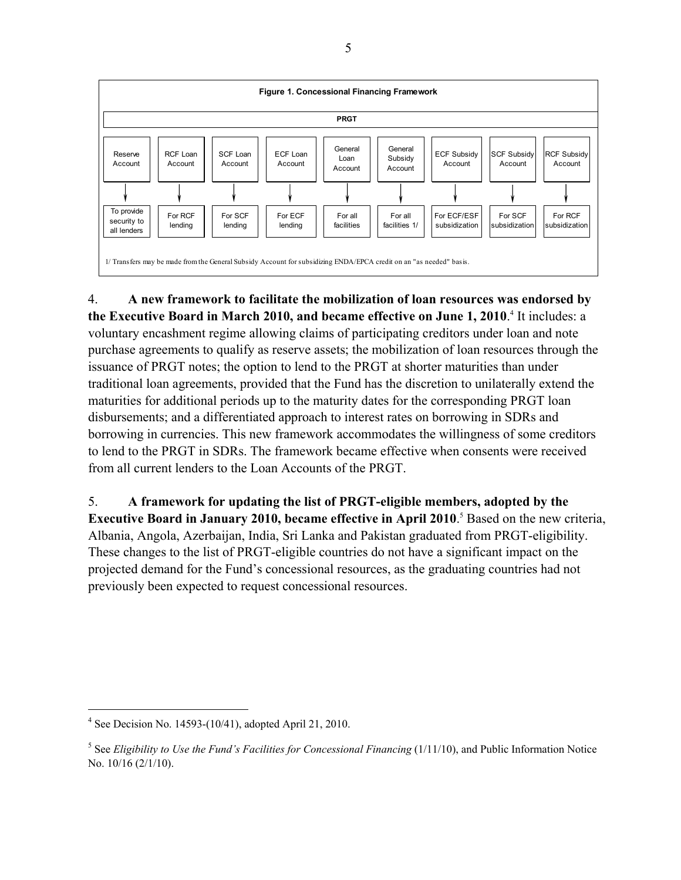

4. **A new framework to facilitate the mobilization of loan resources was endorsed by**  the Executive Board in March 2010, and became effective on June 1, 2010.<sup>4</sup> It includes: a voluntary encashment regime allowing claims of participating creditors under loan and note purchase agreements to qualify as reserve assets; the mobilization of loan resources through the issuance of PRGT notes; the option to lend to the PRGT at shorter maturities than under traditional loan agreements, provided that the Fund has the discretion to unilaterally extend the maturities for additional periods up to the maturity dates for the corresponding PRGT loan disbursements; and a differentiated approach to interest rates on borrowing in SDRs and borrowing in currencies. This new framework accommodates the willingness of some creditors to lend to the PRGT in SDRs. The framework became effective when consents were received from all current lenders to the Loan Accounts of the PRGT.

5. **A framework for updating the list of PRGT-eligible members, adopted by the Executive Board in January 2010, became effective in April 2010.<sup>5</sup> Based on the new criteria,** Albania, Angola, Azerbaijan, India, Sri Lanka and Pakistan graduated from PRGT-eligibility. These changes to the list of PRGT-eligible countries do not have a significant impact on the projected demand for the Fund's concessional resources, as the graduating countries had not previously been expected to request concessional resources.

<sup>4</sup> See Decision No. 14593-(10/41), adopted April 21, 2010.

<sup>&</sup>lt;sup>5</sup> See *Eligibility to Use the Fund's Facilities for Concessional Financing* (1/11/10), and Public Information Notice No. 10/16 (2/1/10).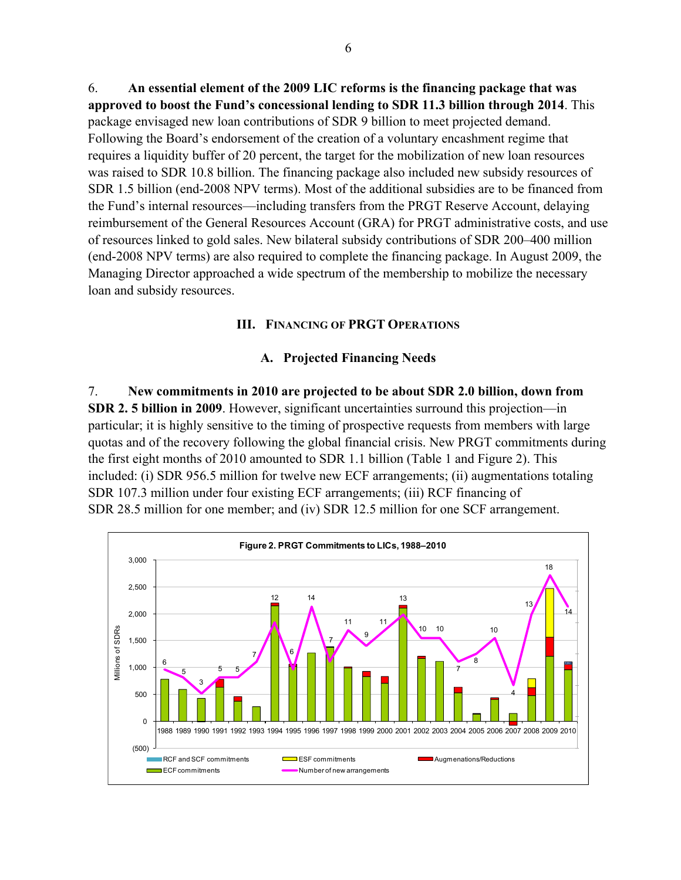6. **An essential element of the 2009 LIC reforms is the financing package that was approved to boost the Fund's concessional lending to SDR 11.3 billion through 2014**. This package envisaged new loan contributions of SDR 9 billion to meet projected demand. Following the Board's endorsement of the creation of a voluntary encashment regime that requires a liquidity buffer of 20 percent, the target for the mobilization of new loan resources was raised to SDR 10.8 billion. The financing package also included new subsidy resources of SDR 1.5 billion (end-2008 NPV terms). Most of the additional subsidies are to be financed from the Fund's internal resources—including transfers from the PRGT Reserve Account, delaying reimbursement of the General Resources Account (GRA) for PRGT administrative costs, and use of resources linked to gold sales. New bilateral subsidy contributions of SDR 200–400 million (end-2008 NPV terms) are also required to complete the financing package. In August 2009, the Managing Director approached a wide spectrum of the membership to mobilize the necessary loan and subsidy resources.

## **III. FINANCING OF PRGT OPERATIONS**

## **A. Projected Financing Needs**

7. **New commitments in 2010 are projected to be about SDR 2.0 billion, down from SDR 2. 5 billion in 2009**. However, significant uncertainties surround this projection—in particular; it is highly sensitive to the timing of prospective requests from members with large quotas and of the recovery following the global financial crisis. New PRGT commitments during the first eight months of 2010 amounted to SDR 1.1 billion (Table 1 and Figure 2). This included: (i) SDR 956.5 million for twelve new ECF arrangements; (ii) augmentations totaling SDR 107.3 million under four existing ECF arrangements; (iii) RCF financing of SDR 28.5 million for one member; and (iv) SDR 12.5 million for one SCF arrangement.

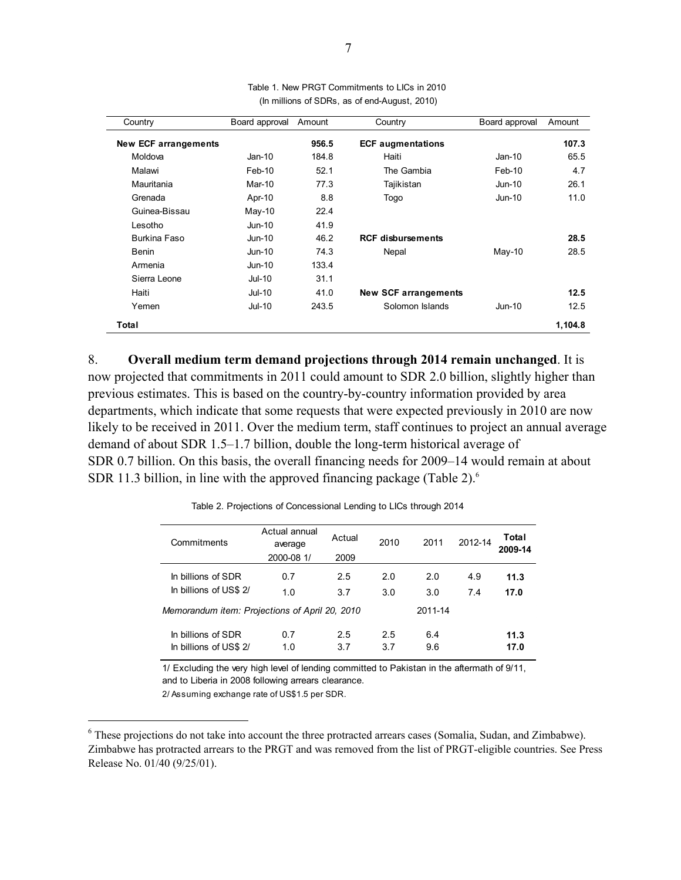| Country                     | Board approval | Amount | Country                     | Board approval | Amount  |
|-----------------------------|----------------|--------|-----------------------------|----------------|---------|
| <b>New ECF arrangements</b> |                | 956.5  | <b>ECF</b> augmentations    |                | 107.3   |
| Moldova                     | $Jan-10$       | 184.8  | Haiti                       | $Jan-10$       | 65.5    |
| Malawi                      | Feb-10         | 52.1   | The Gambia                  | $Feb-10$       | 4.7     |
| Mauritania                  | Mar-10         | 77.3   | Tajikistan                  | $Jun-10$       | 26.1    |
| Grenada                     | Apr-10         | 8.8    | Togo                        | $Jun-10$       | 11.0    |
| Guinea-Bissau               | May-10         | 22.4   |                             |                |         |
| Lesotho                     | $Jun-10$       | 41.9   |                             |                |         |
| Burkina Faso                | $Jun-10$       | 46.2   | <b>RCF disbursements</b>    |                | 28.5    |
| <b>Benin</b>                | $Jun-10$       | 74.3   | Nepal                       | $May-10$       | 28.5    |
| Armenia                     | $Jun-10$       | 133.4  |                             |                |         |
| Sierra Leone                | $Jul-10$       | 31.1   |                             |                |         |
| Haiti                       | $Jul-10$       | 41.0   | <b>New SCF arrangements</b> |                | 12.5    |
| Yemen                       | $Jul-10$       | 243.5  | Solomon Islands             | $Jun-10$       | 12.5    |
| Total                       |                |        |                             |                | 1,104.8 |

(In millions of SDRs, as of end-August, 2010) Table 1. New PRGT Commitments to LICs in 2010

8. **Overall medium term demand projections through 2014 remain unchanged**. It is now projected that commitments in 2011 could amount to SDR 2.0 billion, slightly higher than previous estimates. This is based on the country-by-country information provided by area departments, which indicate that some requests that were expected previously in 2010 are now likely to be received in 2011. Over the medium term, staff continues to project an annual average demand of about SDR 1.5–1.7 billion, double the long-term historical average of SDR 0.7 billion. On this basis, the overall financing needs for 2009–14 would remain at about SDR 11.3 billion, in line with the approved financing package (Table 2). $<sup>6</sup>$ </sup>

Actual annual average Actual 2000-08 1/ 2009 In billions of SDR 0.7 2.5 2.0 2.0 4.9 **11.3** In billions of US\$ 2/ 1.0 3.7 3.0 3.0 7.4 **17.0** 2011-14 In billions of SDR 0.7 2.5 2.5 6.4 **11.3** In billions of US\$ 2/ 1.0 3.7 3.7 9.6 **17.0** 2012-14 *Memorandum item: Projections of April 20, 2010* Commitments 2010 2011 **Total 2009-14**

Table 2. Projections of Concessional Lending to LICs through 2014

1/ Excluding the very high level of lending committed to Pakistan in the aftermath of 9/11, and to Liberia in 2008 following arrears clearance.

2/ Assuming exchange rate of US\$1.5 per SDR.

<sup>&</sup>lt;sup>6</sup> These projections do not take into account the three protracted arrears cases (Somalia, Sudan, and Zimbabwe). Zimbabwe has protracted arrears to the PRGT and was removed from the list of PRGT-eligible countries. See Press Release No. 01/40 (9/25/01).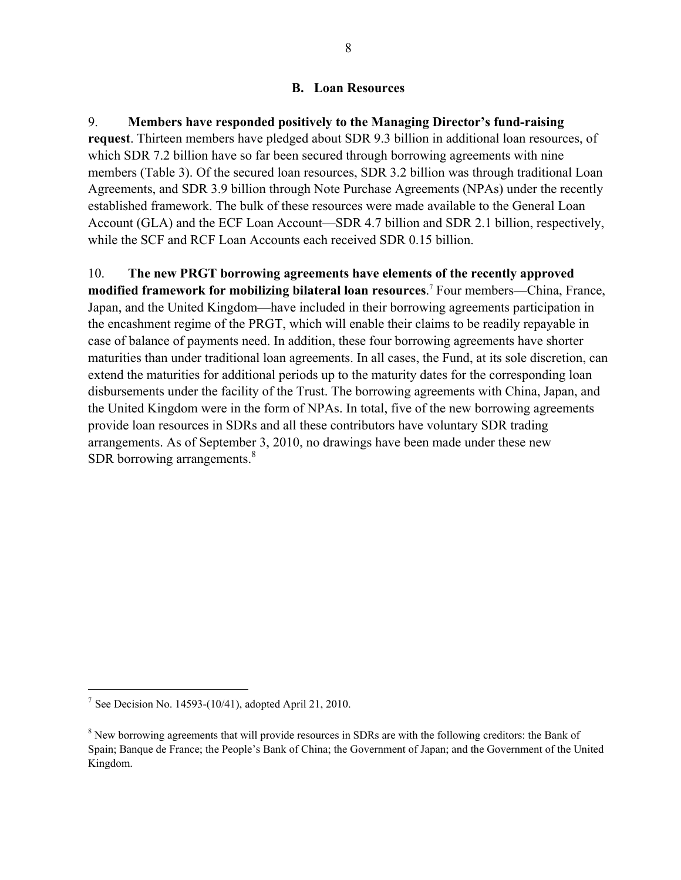#### **B. Loan Resources**

9. **Members have responded positively to the Managing Director's fund-raising request**. Thirteen members have pledged about SDR 9.3 billion in additional loan resources, of which SDR 7.2 billion have so far been secured through borrowing agreements with nine members (Table 3). Of the secured loan resources, SDR 3.2 billion was through traditional Loan Agreements, and SDR 3.9 billion through Note Purchase Agreements (NPAs) under the recently established framework. The bulk of these resources were made available to the General Loan Account (GLA) and the ECF Loan Account—SDR 4.7 billion and SDR 2.1 billion, respectively, while the SCF and RCF Loan Accounts each received SDR 0.15 billion.

10. **The new PRGT borrowing agreements have elements of the recently approved**  modified framework for mobilizing bilateral loan resources.<sup>7</sup> Four members—China, France, Japan, and the United Kingdom—have included in their borrowing agreements participation in the encashment regime of the PRGT, which will enable their claims to be readily repayable in case of balance of payments need. In addition, these four borrowing agreements have shorter maturities than under traditional loan agreements. In all cases, the Fund, at its sole discretion, can extend the maturities for additional periods up to the maturity dates for the corresponding loan disbursements under the facility of the Trust. The borrowing agreements with China, Japan, and the United Kingdom were in the form of NPAs. In total, five of the new borrowing agreements provide loan resources in SDRs and all these contributors have voluntary SDR trading arrangements. As of September 3, 2010, no drawings have been made under these new SDR borrowing arrangements.<sup>8</sup>

<sup>&</sup>lt;sup>7</sup> See Decision No. 14593-(10/41), adopted April 21, 2010.

<sup>&</sup>lt;sup>8</sup> New borrowing agreements that will provide resources in SDRs are with the following creditors: the Bank of Spain; Banque de France; the People's Bank of China; the Government of Japan; and the Government of the United Kingdom.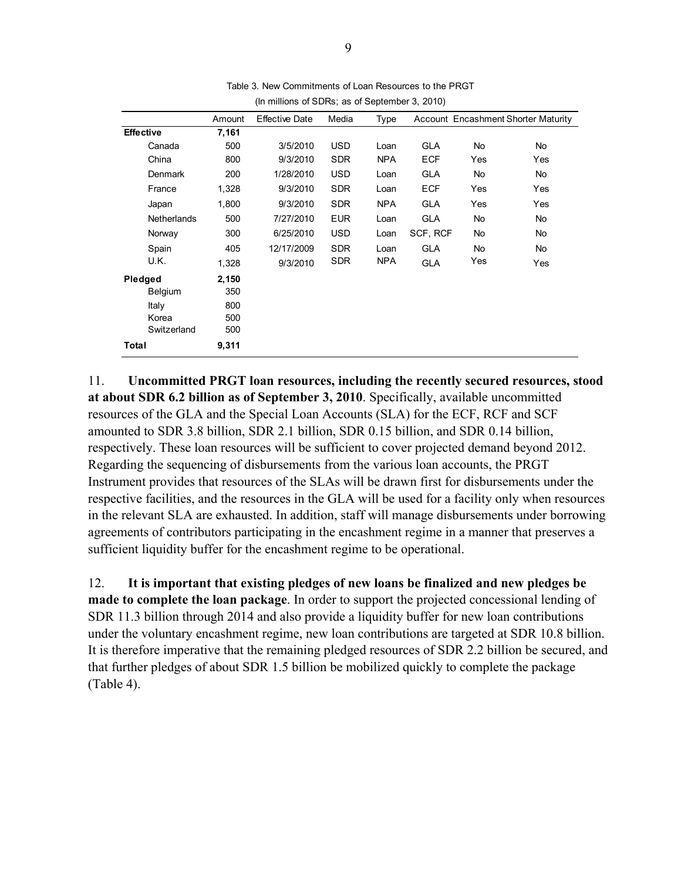|                    | Amount | <b>Effective Date</b> | Media      | Type       |            |           | <b>Account Encashment Shorter Maturity</b> |
|--------------------|--------|-----------------------|------------|------------|------------|-----------|--------------------------------------------|
| Effective          | 7,161  |                       |            |            |            |           |                                            |
| Canada             | 500    | 3/5/2010              | <b>USD</b> | Loan       | <b>GLA</b> | No        | <b>No</b>                                  |
| China              | 800    | 9/3/2010              | <b>SDR</b> | <b>NPA</b> | <b>ECF</b> | Yes       | Yes                                        |
| Denmark            | 200    | 1/28/2010             | <b>USD</b> | Loan       | <b>GLA</b> | No        | No                                         |
| France             | 1,328  | 9/3/2010              | <b>SDR</b> | Loan       | <b>ECF</b> | Yes       | Yes                                        |
| Japan              | 1,800  | 9/3/2010              | <b>SDR</b> | <b>NPA</b> | <b>GLA</b> | Yes       | Yes                                        |
| <b>Netherlands</b> | 500    | 7/27/2010             | <b>EUR</b> | Loan       | <b>GLA</b> | No        | No                                         |
| Norway             | 300    | 6/25/2010             | <b>USD</b> | Loan       | SCF, RCF   | No        | <b>No</b>                                  |
| Spain              | 405    | 12/17/2009            | <b>SDR</b> | Loan       | <b>GLA</b> | <b>No</b> | No                                         |
| U.K.               | 1,328  | 9/3/2010              | <b>SDR</b> | <b>NPA</b> | <b>GLA</b> | Yes       | Yes                                        |
| Pledged            | 2,150  |                       |            |            |            |           |                                            |
| Belgium            | 350    |                       |            |            |            |           |                                            |
| Italy              | 800    |                       |            |            |            |           |                                            |
| Korea              | 500    |                       |            |            |            |           |                                            |
| Switzerland        | 500    |                       |            |            |            |           |                                            |
| Total              | 9,311  |                       |            |            |            |           |                                            |

Table 3. New Commitments of Loan Resources to the PRGT (In millions of SDRs; as of September 3, 2010)

11. **Uncommitted PRGT loan resources, including the recently secured resources, stood at about SDR 6.2 billion as of September 3, 2010**. Specifically, available uncommitted resources of the GLA and the Special Loan Accounts (SLA) for the ECF, RCF and SCF amounted to SDR 3.8 billion, SDR 2.1 billion, SDR 0.15 billion, and SDR 0.14 billion, respectively. These loan resources will be sufficient to cover projected demand beyond 2012. Regarding the sequencing of disbursements from the various loan accounts, the PRGT Instrument provides that resources of the SLAs will be drawn first for disbursements under the respective facilities, and the resources in the GLA will be used for a facility only when resources in the relevant SLA are exhausted. In addition, staff will manage disbursements under borrowing agreements of contributors participating in the encashment regime in a manner that preserves a sufficient liquidity buffer for the encashment regime to be operational.

12. **It is important that existing pledges of new loans be finalized and new pledges be made to complete the loan package**. In order to support the projected concessional lending of SDR 11.3 billion through 2014 and also provide a liquidity buffer for new loan contributions under the voluntary encashment regime, new loan contributions are targeted at SDR 10.8 billion. It is therefore imperative that the remaining pledged resources of SDR 2.2 billion be secured, and that further pledges of about SDR 1.5 billion be mobilized quickly to complete the package (Table 4).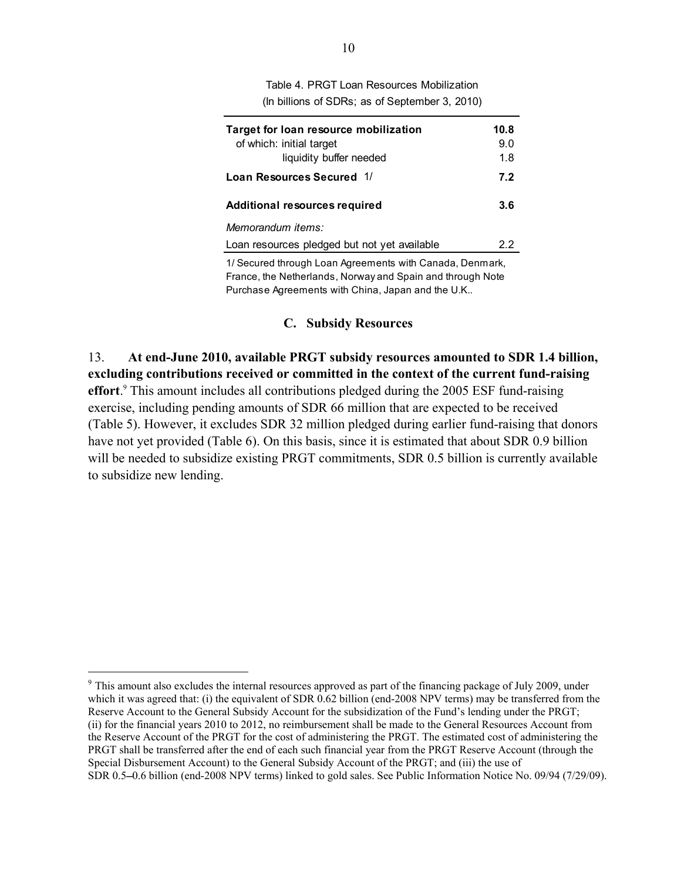| Table 4. PRGT Loan Resources Mobilization      |
|------------------------------------------------|
| (In billions of SDRs; as of September 3, 2010) |

| Target for loan resource mobilization<br>of which: initial target | 10.8<br>9.0 |
|-------------------------------------------------------------------|-------------|
| liquidity buffer needed                                           | 1.8         |
| Loan Resources Secured 1/                                         | 7.2         |
|                                                                   |             |
| Additional resources required                                     | 3.6         |
| Memorandum items:                                                 |             |
| Loan resources pledged but not yet available                      | 22          |
|                                                                   |             |

1/ Secured through Loan Agreements with Canada, Denmark, France, the Netherlands, Norway and Spain and through Note Purchase Agreements with China, Japan and the U.K..

#### **C. Subsidy Resources**

13. **At end-June 2010, available PRGT subsidy resources amounted to SDR 1.4 billion, excluding contributions received or committed in the context of the current fund-raising effort**. 9 This amount includes all contributions pledged during the 2005 ESF fund-raising exercise, including pending amounts of SDR 66 million that are expected to be received (Table 5). However, it excludes SDR 32 million pledged during earlier fund-raising that donors have not yet provided (Table 6). On this basis, since it is estimated that about SDR 0.9 billion will be needed to subsidize existing PRGT commitments, SDR 0.5 billion is currently available to subsidize new lending.

<sup>&</sup>lt;sup>9</sup> This amount also excludes the internal resources approved as part of the financing package of July 2009, under which it was agreed that: (i) the equivalent of SDR 0.62 billion (end-2008 NPV terms) may be transferred from the Reserve Account to the General Subsidy Account for the subsidization of the Fund's lending under the PRGT; (ii) for the financial years 2010 to 2012, no reimbursement shall be made to the General Resources Account from the Reserve Account of the PRGT for the cost of administering the PRGT. The estimated cost of administering the PRGT shall be transferred after the end of each such financial year from the PRGT Reserve Account (through the Special Disbursement Account) to the General Subsidy Account of the PRGT; and (iii) the use of SDR 0.5-0.6 billion (end-2008 NPV terms) linked to gold sales. See Public Information Notice No. 09/94 (7/29/09).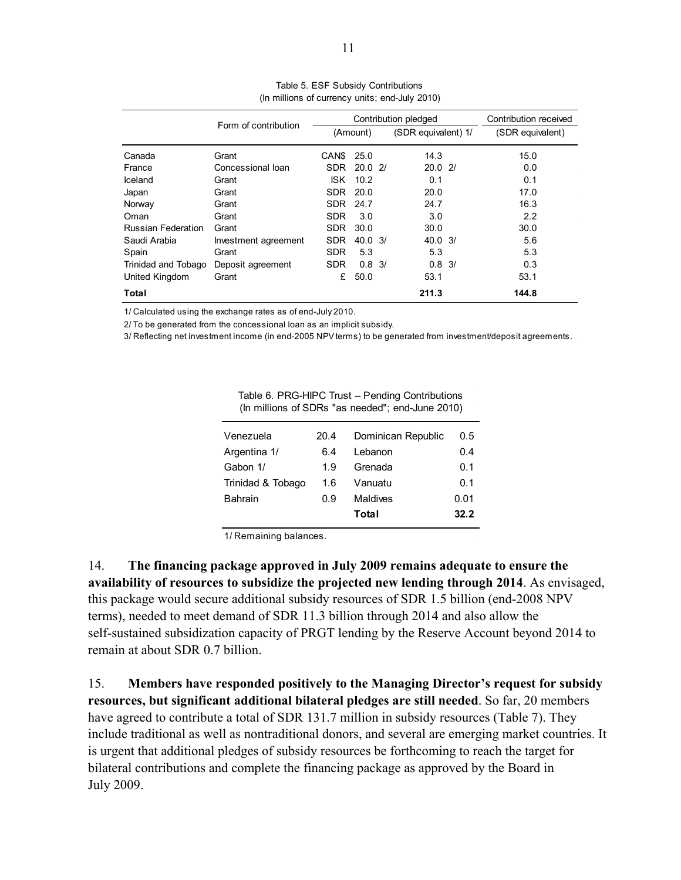|                     | Form of contribution |            | Contribution pledged |  | Contribution received |                  |
|---------------------|----------------------|------------|----------------------|--|-----------------------|------------------|
|                     |                      |            | (Amount)             |  | (SDR equivalent) 1/   | (SDR equivalent) |
| Canada              | Grant                | CAN\$      | 25.0                 |  | 14.3                  | 15.0             |
| France              | Concessional loan    | <b>SDR</b> | 20.021               |  | 20.021                | 0.0              |
| Iceland             | Grant                | ISK.       | 10.2                 |  | 0.1                   | 0.1              |
| Japan               | Grant                | <b>SDR</b> | 20.0                 |  | 20.0                  | 17.0             |
| Norway              | Grant                | <b>SDR</b> | 24.7                 |  | 24.7                  | 16.3             |
| Oman                | Grant                | <b>SDR</b> | 3.0                  |  | 3.0                   | 2.2              |
| Russian Federation  | Grant                | <b>SDR</b> | 30.0                 |  | 30.0                  | 30.0             |
| Saudi Arabia        | Investment agreement | <b>SDR</b> | $40.0 \frac{3}{3}$   |  | $40.0 \frac{3}{1}$    | 5.6              |
| Spain               | Grant                | <b>SDR</b> | 5.3                  |  | 5.3                   | 5.3              |
| Trinidad and Tobago | Deposit agreement    | <b>SDR</b> | $0.8 \frac{3}{2}$    |  | $0.8 \frac{3}{3}$     | 0.3              |
| United Kingdom      | Grant                | £          | 50.0                 |  | 53.1                  | 53.1             |
| Total               |                      |            |                      |  | 211.3                 | 144.8            |

Table 5. ESF Subsidy Contributions (In millions of currency units; end-July 2010)

1/ Calculated using the exchange rates as of end-July 2010.

2/ To be generated from the concessional loan as an implicit subsidy.

3/ Reflecting net investment income (in end-2005 NPV terms) to be generated from investment/deposit agreements.

| Venezuela         | 20.4 | Dominican Republic | 0.5  |  |  |
|-------------------|------|--------------------|------|--|--|
| Argentina 1/      | 6.4  | Lebanon            | 0.4  |  |  |
| Gabon 1/          | 1.9  | Grenada            | 0.1  |  |  |
| Trinidad & Tobago | 1.6  | Vanuatu            | 0.1  |  |  |
| <b>Bahrain</b>    | 0.9  | Maldives           | 0.01 |  |  |
|                   |      | Total              | 32.2 |  |  |
|                   |      |                    |      |  |  |

Table 6. PRG-HIPC Trust – Pending Contributions (In millions of SDRs "as needed"; end-June 2010)

1/ Remaining balances.

14. **The financing package approved in July 2009 remains adequate to ensure the availability of resources to subsidize the projected new lending through 2014**. As envisaged, this package would secure additional subsidy resources of SDR 1.5 billion (end-2008 NPV terms), needed to meet demand of SDR 11.3 billion through 2014 and also allow the self-sustained subsidization capacity of PRGT lending by the Reserve Account beyond 2014 to remain at about SDR 0.7 billion.

15. **Members have responded positively to the Managing Director's request for subsidy resources, but significant additional bilateral pledges are still needed**. So far, 20 members have agreed to contribute a total of SDR 131.7 million in subsidy resources (Table 7). They include traditional as well as nontraditional donors, and several are emerging market countries. It is urgent that additional pledges of subsidy resources be forthcoming to reach the target for bilateral contributions and complete the financing package as approved by the Board in July 2009.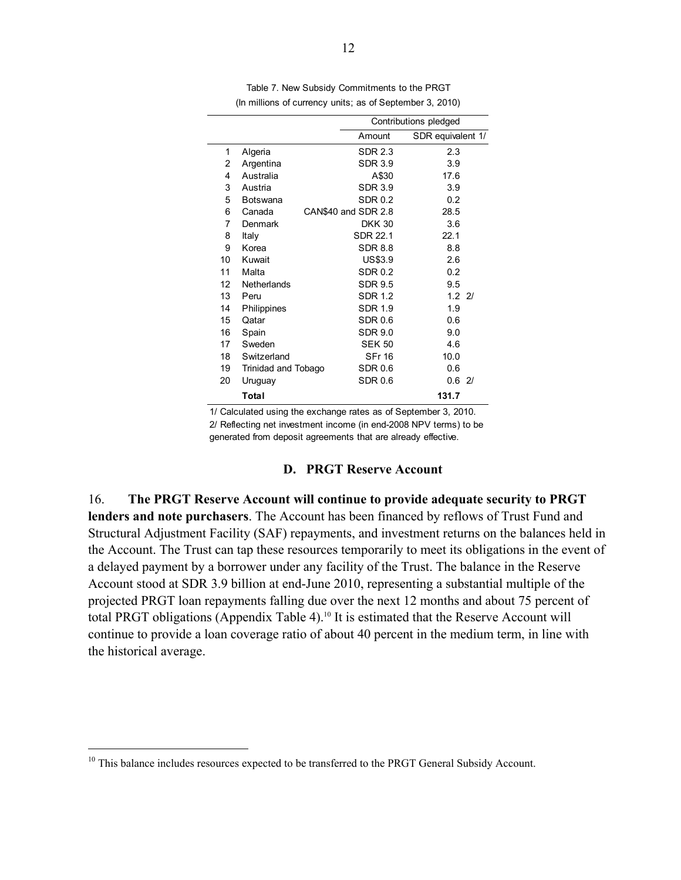|    |                     | Contributions pledged |                   |  |  |  |  |
|----|---------------------|-----------------------|-------------------|--|--|--|--|
|    |                     | Amount                | SDR equivalent 1/ |  |  |  |  |
| 1  | Algeria             | SDR 2.3               | 2.3               |  |  |  |  |
| 2  | Argentina           | <b>SDR 3.9</b>        | 3.9               |  |  |  |  |
| 4  | Australia           | A\$30                 | 17.6              |  |  |  |  |
| 3  | Austria             | <b>SDR 3.9</b>        | 3.9               |  |  |  |  |
| 5  | <b>Botswana</b>     | SDR 0.2               | 0.2               |  |  |  |  |
| 6  | Canada              | CAN\$40 and SDR 2.8   | 28.5              |  |  |  |  |
| 7  | Denmark             | <b>DKK 30</b>         | 3.6               |  |  |  |  |
| 8  | Italy               | SDR 22.1              | 221               |  |  |  |  |
| 9  | Korea               | <b>SDR 8.8</b>        | 8.8               |  |  |  |  |
| 10 | Kuwait              | US\$3.9               | 2.6               |  |  |  |  |
| 11 | Malta               | SDR 0.2               | 0.2               |  |  |  |  |
| 12 | Netherlands         | <b>SDR 9.5</b>        | 9.5               |  |  |  |  |
| 13 | Peru                | <b>SDR 1.2</b>        | $1.2$ 2/          |  |  |  |  |
| 14 | Philippines         | <b>SDR 1.9</b>        | 1.9               |  |  |  |  |
| 15 | Qatar               | <b>SDR 0.6</b>        | 0.6               |  |  |  |  |
| 16 | Spain               | <b>SDR 9.0</b>        | 9.0               |  |  |  |  |
| 17 | Sweden              | <b>SEK 50</b>         | 4.6               |  |  |  |  |
| 18 | Switzerland         | <b>SFr 16</b>         | 10.0              |  |  |  |  |
| 19 | Trinidad and Tobago | SDR 0.6               | 0.6               |  |  |  |  |
| 20 | Uruguay             | <b>SDR 0.6</b>        | 0.62/             |  |  |  |  |
|    | Total               |                       | 131.7             |  |  |  |  |

Table 7. New Subsidy Commitments to the PRGT (In millions of currency units; as of September 3, 2010)

1/ Calculated using the exchange rates as of September 3, 2010. 2/ Reflecting net investment income (in end-2008 NPV terms) to be generated from deposit agreements that are already effective.

#### **D. PRGT Reserve Account**

16. **The PRGT Reserve Account will continue to provide adequate security to PRGT lenders and note purchasers**. The Account has been financed by reflows of Trust Fund and Structural Adjustment Facility (SAF) repayments, and investment returns on the balances held in the Account. The Trust can tap these resources temporarily to meet its obligations in the event of a delayed payment by a borrower under any facility of the Trust. The balance in the Reserve Account stood at SDR 3.9 billion at end-June 2010, representing a substantial multiple of the projected PRGT loan repayments falling due over the next 12 months and about 75 percent of total PRGT obligations (Appendix Table 4).<sup>10</sup> It is estimated that the Reserve Account will continue to provide a loan coverage ratio of about 40 percent in the medium term, in line with the historical average.

<sup>&</sup>lt;sup>10</sup> This balance includes resources expected to be transferred to the PRGT General Subsidy Account.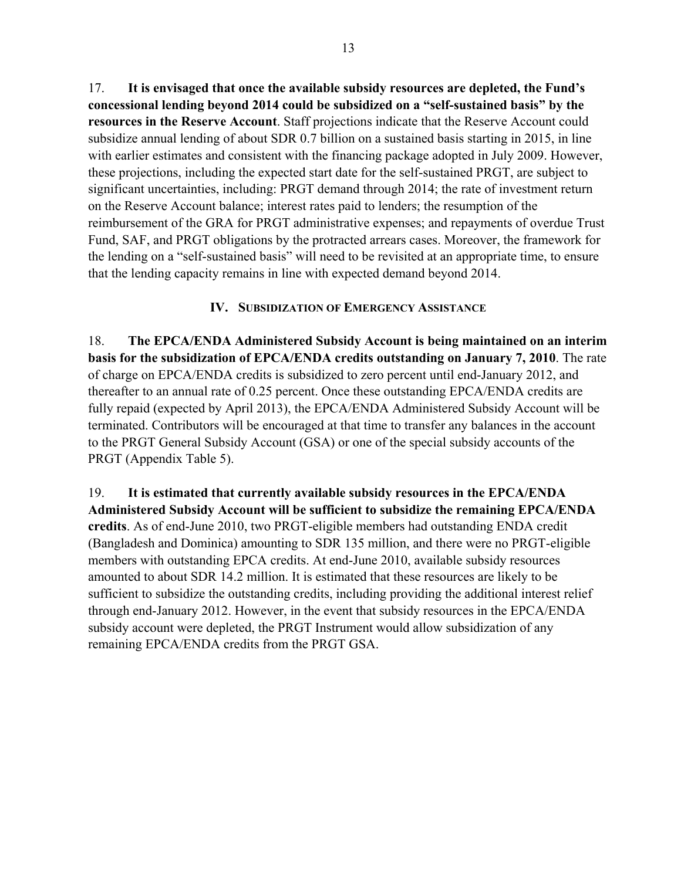17. **It is envisaged that once the available subsidy resources are depleted, the Fund's concessional lending beyond 2014 could be subsidized on a "self-sustained basis" by the resources in the Reserve Account**. Staff projections indicate that the Reserve Account could subsidize annual lending of about SDR 0.7 billion on a sustained basis starting in 2015, in line with earlier estimates and consistent with the financing package adopted in July 2009. However, these projections, including the expected start date for the self-sustained PRGT, are subject to significant uncertainties, including: PRGT demand through 2014; the rate of investment return on the Reserve Account balance; interest rates paid to lenders; the resumption of the reimbursement of the GRA for PRGT administrative expenses; and repayments of overdue Trust Fund, SAF, and PRGT obligations by the protracted arrears cases. Moreover, the framework for the lending on a "self-sustained basis" will need to be revisited at an appropriate time, to ensure that the lending capacity remains in line with expected demand beyond 2014.

## **IV. SUBSIDIZATION OF EMERGENCY ASSISTANCE**

18. **The EPCA/ENDA Administered Subsidy Account is being maintained on an interim basis for the subsidization of EPCA/ENDA credits outstanding on January 7, 2010**. The rate of charge on EPCA/ENDA credits is subsidized to zero percent until end-January 2012, and thereafter to an annual rate of 0.25 percent. Once these outstanding EPCA/ENDA credits are fully repaid (expected by April 2013), the EPCA/ENDA Administered Subsidy Account will be terminated. Contributors will be encouraged at that time to transfer any balances in the account to the PRGT General Subsidy Account (GSA) or one of the special subsidy accounts of the PRGT (Appendix Table 5).

19. **It is estimated that currently available subsidy resources in the EPCA/ENDA Administered Subsidy Account will be sufficient to subsidize the remaining EPCA/ENDA credits**. As of end-June 2010, two PRGT-eligible members had outstanding ENDA credit (Bangladesh and Dominica) amounting to SDR 135 million, and there were no PRGT-eligible members with outstanding EPCA credits. At end-June 2010, available subsidy resources amounted to about SDR 14.2 million. It is estimated that these resources are likely to be sufficient to subsidize the outstanding credits, including providing the additional interest relief through end-January 2012. However, in the event that subsidy resources in the EPCA/ENDA subsidy account were depleted, the PRGT Instrument would allow subsidization of any remaining EPCA/ENDA credits from the PRGT GSA.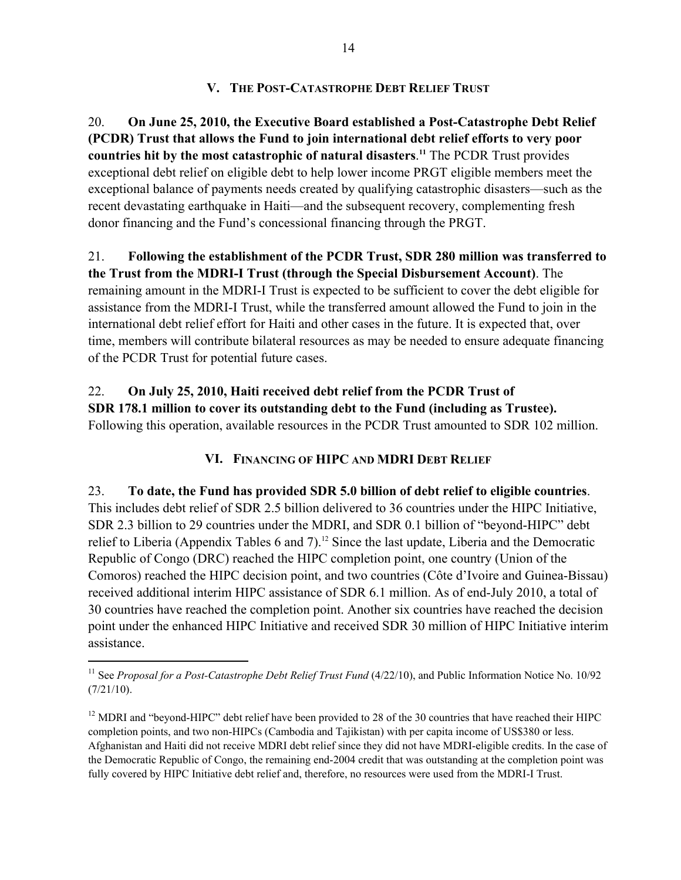## **V. THE POST-CATASTROPHE DEBT RELIEF TRUST**

20. **On June 25, 2010, the Executive Board established a Post-Catastrophe Debt Relief (PCDR) Trust that allows the Fund to join international debt relief efforts to very poor countries hit by the most catastrophic of natural disasters**. **<sup>11</sup>** The PCDR Trust provides exceptional debt relief on eligible debt to help lower income PRGT eligible members meet the exceptional balance of payments needs created by qualifying catastrophic disasters—such as the recent devastating earthquake in Haiti—and the subsequent recovery, complementing fresh donor financing and the Fund's concessional financing through the PRGT.

21. **Following the establishment of the PCDR Trust, SDR 280 million was transferred to the Trust from the MDRI-I Trust (through the Special Disbursement Account)**. The remaining amount in the MDRI-I Trust is expected to be sufficient to cover the debt eligible for assistance from the MDRI-I Trust, while the transferred amount allowed the Fund to join in the international debt relief effort for Haiti and other cases in the future. It is expected that, over time, members will contribute bilateral resources as may be needed to ensure adequate financing of the PCDR Trust for potential future cases.

22. **On July 25, 2010, Haiti received debt relief from the PCDR Trust of SDR 178.1 million to cover its outstanding debt to the Fund (including as Trustee).** Following this operation, available resources in the PCDR Trust amounted to SDR 102 million.

## **VI. FINANCING OF HIPC AND MDRI DEBT RELIEF**

23. **To date, the Fund has provided SDR 5.0 billion of debt relief to eligible countries**. This includes debt relief of SDR 2.5 billion delivered to 36 countries under the HIPC Initiative, SDR 2.3 billion to 29 countries under the MDRI, and SDR 0.1 billion of "beyond-HIPC" debt relief to Liberia (Appendix Tables 6 and 7).<sup>12</sup> Since the last update, Liberia and the Democratic Republic of Congo (DRC) reached the HIPC completion point, one country (Union of the Comoros) reached the HIPC decision point, and two countries (Côte d'Ivoire and Guinea-Bissau) received additional interim HIPC assistance of SDR 6.1 million. As of end-July 2010, a total of 30 countries have reached the completion point. Another six countries have reached the decision point under the enhanced HIPC Initiative and received SDR 30 million of HIPC Initiative interim assistance.

<sup>&</sup>lt;sup>11</sup> See *Proposal for a Post-Catastrophe Debt Relief Trust Fund* (4/22/10), and Public Information Notice No. 10/92 (7/21/10).

<sup>&</sup>lt;sup>12</sup> MDRI and "beyond-HIPC" debt relief have been provided to 28 of the 30 countries that have reached their HIPC completion points, and two non-HIPCs (Cambodia and Tajikistan) with per capita income of US\$380 or less. Afghanistan and Haiti did not receive MDRI debt relief since they did not have MDRI-eligible credits. In the case of the Democratic Republic of Congo, the remaining end-2004 credit that was outstanding at the completion point was fully covered by HIPC Initiative debt relief and, therefore, no resources were used from the MDRI-I Trust.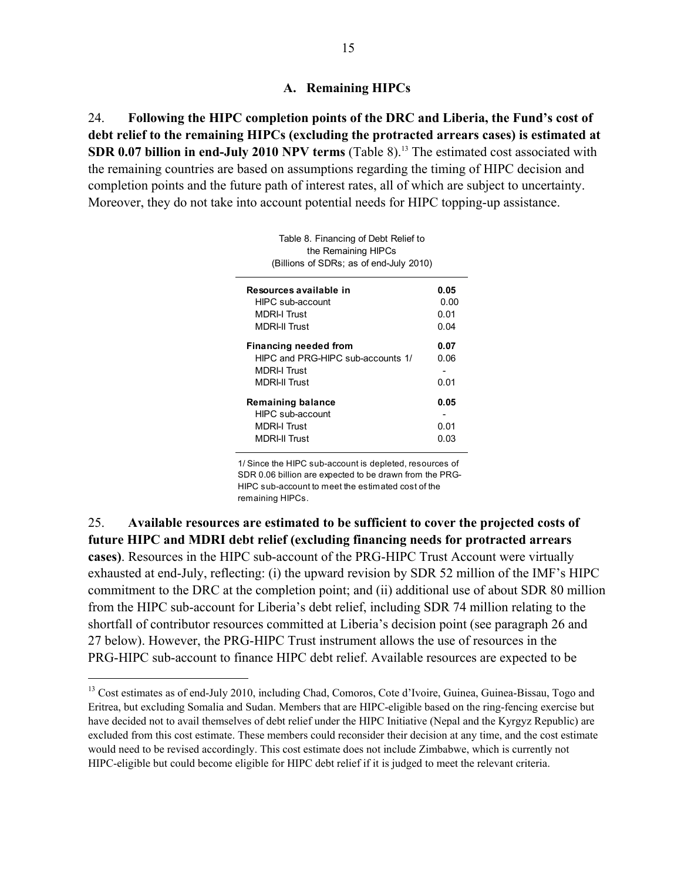## **A. Remaining HIPCs**

24. **Following the HIPC completion points of the DRC and Liberia, the Fund's cost of debt relief to the remaining HIPCs (excluding the protracted arrears cases) is estimated at SDR 0.07 billion in end-July 2010 NPV terms** (Table 8).<sup>13</sup> The estimated cost associated with the remaining countries are based on assumptions regarding the timing of HIPC decision and completion points and the future path of interest rates, all of which are subject to uncertainty. Moreover, they do not take into account potential needs for HIPC topping-up assistance.

> Table 8. Financing of Debt Relief to the Remaining HIPCs

| (Billions of SDRs; as of end-July 2010) |      |  |  |  |  |  |
|-----------------------------------------|------|--|--|--|--|--|
| Resources available in                  | 0.05 |  |  |  |  |  |
| HIPC sub-account                        | 0.00 |  |  |  |  |  |
| <b>MDRI-I Trust</b>                     | 0.01 |  |  |  |  |  |
| <b>MDRI-II Trust</b>                    | 0.04 |  |  |  |  |  |
| <b>Financing needed from</b>            | 0.07 |  |  |  |  |  |
| HIPC and PRG-HIPC sub-accounts 1/       | 0.06 |  |  |  |  |  |
| MDRI-I Trust                            |      |  |  |  |  |  |
| MDRI-II Trust                           | 0.01 |  |  |  |  |  |
| Remaining balance                       | 0.05 |  |  |  |  |  |
| HIPC sub-account                        |      |  |  |  |  |  |
| <b>MDRI-I Trust</b>                     | 0.01 |  |  |  |  |  |
| <b>MDRI-II Trust</b>                    | 0.03 |  |  |  |  |  |

1/ Since the HIPC sub-account is depleted, resources of SDR 0.06 billion are expected to be drawn from the PRG-HIPC sub-account to meet the estimated cost of the remaining HIPCs.

25. **Available resources are estimated to be sufficient to cover the projected costs of future HIPC and MDRI debt relief (excluding financing needs for protracted arrears cases)**. Resources in the HIPC sub-account of the PRG-HIPC Trust Account were virtually exhausted at end-July, reflecting: (i) the upward revision by SDR 52 million of the IMF's HIPC commitment to the DRC at the completion point; and (ii) additional use of about SDR 80 million from the HIPC sub-account for Liberia's debt relief, including SDR 74 million relating to the shortfall of contributor resources committed at Liberia's decision point (see paragraph 26 and 27 below). However, the PRG-HIPC Trust instrument allows the use of resources in the PRG-HIPC sub-account to finance HIPC debt relief. Available resources are expected to be

<sup>&</sup>lt;sup>13</sup> Cost estimates as of end-July 2010, including Chad, Comoros, Cote d'Ivoire, Guinea, Guinea-Bissau, Togo and Eritrea, but excluding Somalia and Sudan. Members that are HIPC-eligible based on the ring-fencing exercise but have decided not to avail themselves of debt relief under the HIPC Initiative (Nepal and the Kyrgyz Republic) are excluded from this cost estimate. These members could reconsider their decision at any time, and the cost estimate would need to be revised accordingly. This cost estimate does not include Zimbabwe, which is currently not HIPC-eligible but could become eligible for HIPC debt relief if it is judged to meet the relevant criteria.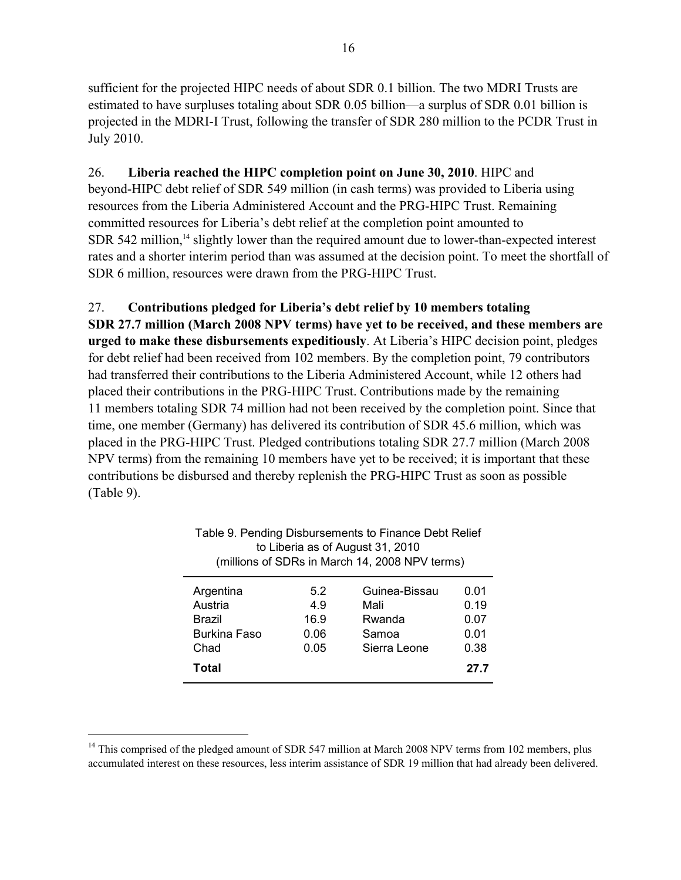sufficient for the projected HIPC needs of about SDR 0.1 billion. The two MDRI Trusts are estimated to have surpluses totaling about SDR 0.05 billion—a surplus of SDR 0.01 billion is projected in the MDRI-I Trust, following the transfer of SDR 280 million to the PCDR Trust in July 2010.

26. **Liberia reached the HIPC completion point on June 30, 2010**. HIPC and beyond-HIPC debt relief of SDR 549 million (in cash terms) was provided to Liberia using resources from the Liberia Administered Account and the PRG-HIPC Trust. Remaining committed resources for Liberia's debt relief at the completion point amounted to  $SDR$  542 million,<sup>14</sup> slightly lower than the required amount due to lower-than-expected interest rates and a shorter interim period than was assumed at the decision point. To meet the shortfall of SDR 6 million, resources were drawn from the PRG-HIPC Trust.

27. **Contributions pledged for Liberia's debt relief by 10 members totaling SDR 27.7 million (March 2008 NPV terms) have yet to be received, and these members are urged to make these disbursements expeditiously**. At Liberia's HIPC decision point, pledges for debt relief had been received from 102 members. By the completion point, 79 contributors had transferred their contributions to the Liberia Administered Account, while 12 others had placed their contributions in the PRG-HIPC Trust. Contributions made by the remaining 11 members totaling SDR 74 million had not been received by the completion point. Since that time, one member (Germany) has delivered its contribution of SDR 45.6 million, which was placed in the PRG-HIPC Trust. Pledged contributions totaling SDR 27.7 million (March 2008 NPV terms) from the remaining 10 members have yet to be received; it is important that these contributions be disbursed and thereby replenish the PRG-HIPC Trust as soon as possible (Table 9).

| Table 9. Pending Disbursements to Finance Debt Relief<br>to Liberia as of August 31, 2010<br>(millions of SDRs in March 14, 2008 NPV terms) |                                    |                                                          |                                              |  |  |  |
|---------------------------------------------------------------------------------------------------------------------------------------------|------------------------------------|----------------------------------------------------------|----------------------------------------------|--|--|--|
| Argentina<br>Austria<br>Brazil<br>Burkina Faso<br>Chad<br>Total                                                                             | 5.2<br>4.9<br>16.9<br>0.06<br>0.05 | Guinea-Bissau<br>Mali<br>Rwanda<br>Samoa<br>Sierra Leone | 0.01<br>0.19<br>0.07<br>0.01<br>0.38<br>27.7 |  |  |  |

<sup>&</sup>lt;sup>14</sup> This comprised of the pledged amount of SDR 547 million at March 2008 NPV terms from 102 members, plus accumulated interest on these resources, less interim assistance of SDR 19 million that had already been delivered.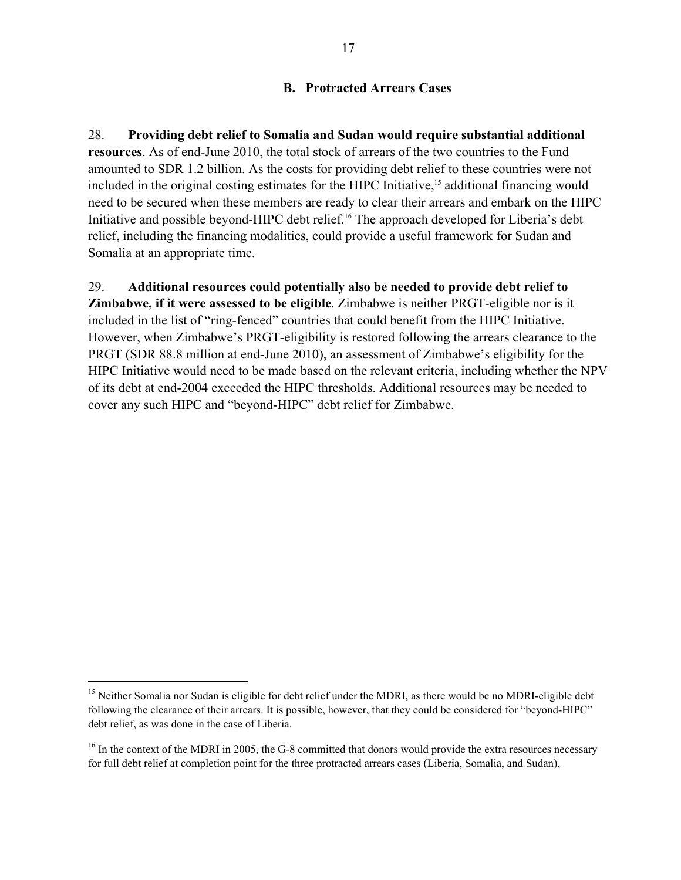## **B. Protracted Arrears Cases**

28. **Providing debt relief to Somalia and Sudan would require substantial additional resources**. As of end-June 2010, the total stock of arrears of the two countries to the Fund amounted to SDR 1.2 billion. As the costs for providing debt relief to these countries were not included in the original costing estimates for the HIPC Initiative,<sup>15</sup> additional financing would need to be secured when these members are ready to clear their arrears and embark on the HIPC Initiative and possible beyond-HIPC debt relief.<sup>16</sup> The approach developed for Liberia's debt relief, including the financing modalities, could provide a useful framework for Sudan and Somalia at an appropriate time.

29. **Additional resources could potentially also be needed to provide debt relief to Zimbabwe, if it were assessed to be eligible**. Zimbabwe is neither PRGT-eligible nor is it included in the list of "ring-fenced" countries that could benefit from the HIPC Initiative. However, when Zimbabwe's PRGT-eligibility is restored following the arrears clearance to the PRGT (SDR 88.8 million at end-June 2010), an assessment of Zimbabwe's eligibility for the HIPC Initiative would need to be made based on the relevant criteria, including whether the NPV of its debt at end-2004 exceeded the HIPC thresholds. Additional resources may be needed to cover any such HIPC and "beyond-HIPC" debt relief for Zimbabwe.

<sup>&</sup>lt;sup>15</sup> Neither Somalia nor Sudan is eligible for debt relief under the MDRI, as there would be no MDRI-eligible debt following the clearance of their arrears. It is possible, however, that they could be considered for "beyond-HIPC" debt relief, as was done in the case of Liberia.

<sup>&</sup>lt;sup>16</sup> In the context of the MDRI in 2005, the G-8 committed that donors would provide the extra resources necessary for full debt relief at completion point for the three protracted arrears cases (Liberia, Somalia, and Sudan).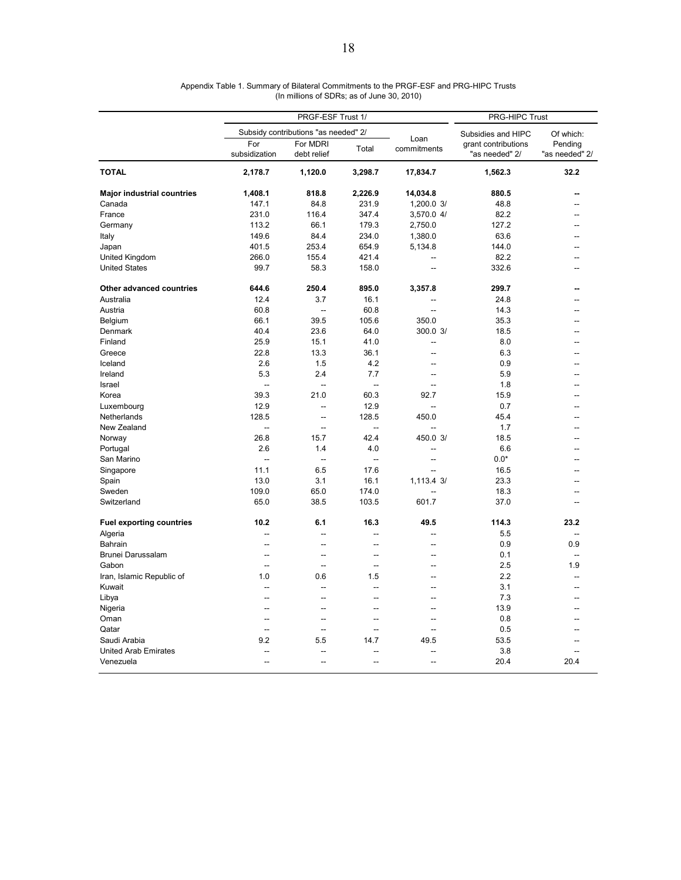|                                   | PRGF-ESF Trust 1/        |                                      |                          |                          | PRG-HIPC Trust                        |                           |
|-----------------------------------|--------------------------|--------------------------------------|--------------------------|--------------------------|---------------------------------------|---------------------------|
|                                   |                          | Subsidy contributions "as needed" 2/ |                          |                          | Subsidies and HIPC                    | Of which:                 |
|                                   | For<br>subsidization     | For MDRI<br>debt relief              | Total                    | Loan<br>commitments      | grant contributions<br>"as needed" 2/ | Pending<br>"as needed" 2/ |
| <b>TOTAL</b>                      | 2,178.7                  | 1,120.0                              | 3,298.7                  | 17,834.7                 | 1,562.3                               | 32.2                      |
| <b>Major industrial countries</b> | 1,408.1                  | 818.8                                | 2,226.9                  | 14,034.8                 | 880.5                                 |                           |
| Canada                            | 147.1                    | 84.8                                 | 231.9                    | 1,200.0 3/               | 48.8                                  | --                        |
| France                            | 231.0                    | 116.4                                | 347.4                    | 3,570.0 4/               | 82.2                                  | --                        |
| Germany                           | 113.2                    | 66.1                                 | 179.3                    | 2,750.0                  | 127.2                                 | --                        |
| Italy                             | 149.6                    | 84.4                                 | 234.0                    | 1,380.0                  | 63.6                                  |                           |
| Japan                             | 401.5                    | 253.4                                | 654.9                    | 5,134.8                  | 144.0                                 |                           |
| United Kingdom                    | 266.0                    | 155.4                                | 421.4                    |                          | 82.2                                  |                           |
| <b>United States</b>              | 99.7                     | 58.3                                 | 158.0                    | --                       | 332.6                                 |                           |
| Other advanced countries          | 644.6                    | 250.4                                | 895.0                    | 3,357.8                  | 299.7                                 |                           |
| Australia                         | 12.4                     | 3.7                                  | 16.1                     |                          | 24.8                                  |                           |
| Austria                           | 60.8                     | $\overline{a}$                       | 60.8                     | ÷.                       | 14.3                                  |                           |
| Belgium                           | 66.1                     | 39.5                                 | 105.6                    | 350.0                    | 35.3                                  |                           |
| Denmark                           | 40.4                     | 23.6                                 | 64.0                     | 300.0 3/                 | 18.5                                  |                           |
| Finland                           | 25.9                     | 15.1                                 | 41.0                     | $\overline{a}$           | 8.0                                   |                           |
| Greece                            | 22.8                     | 13.3                                 | 36.1                     | --                       | 6.3                                   |                           |
| Iceland                           | 2.6                      | 1.5                                  | 4.2                      | $\sim$                   | 0.9                                   |                           |
| Ireland                           | 5.3                      | 2.4                                  | 7.7                      | $\sim$                   | 5.9                                   |                           |
| Israel                            | $\overline{a}$           | ÷.                                   | L.                       | Ц.                       | 1.8                                   |                           |
| Korea                             | 39.3                     | 21.0                                 | 60.3                     | 92.7                     | 15.9                                  |                           |
| Luxembourg                        | 12.9                     | $\overline{a}$                       | 12.9                     |                          | 0.7                                   |                           |
| Netherlands                       | 128.5                    | $\overline{a}$                       | 128.5                    | 450.0                    | 45.4                                  |                           |
| New Zealand                       | $\overline{a}$           | $\overline{a}$                       | $\overline{\phantom{a}}$ |                          | 1.7                                   |                           |
| Norway                            | 26.8                     | 15.7                                 | 42.4                     | 450.0 3/                 | 18.5                                  |                           |
| Portugal                          | 2.6                      | 1.4                                  | 4.0                      |                          | 6.6                                   |                           |
| San Marino                        | $\overline{a}$           | $\overline{a}$                       | $\overline{\phantom{a}}$ | $\overline{a}$           | $0.0*$                                |                           |
| Singapore                         | 11.1                     | 6.5                                  | 17.6                     | $\sim$                   | 16.5                                  |                           |
| Spain                             | 13.0                     | 3.1                                  | 16.1                     | 1,113.4 3/               | 23.3                                  |                           |
| Sweden                            | 109.0                    | 65.0                                 | 174.0                    |                          | 18.3                                  |                           |
| Switzerland                       | 65.0                     | 38.5                                 | 103.5                    | 601.7                    | 37.0                                  |                           |
| <b>Fuel exporting countries</b>   | 10.2                     | 6.1                                  | 16.3                     | 49.5                     | 114.3                                 | 23.2                      |
| Algeria                           | Ξ.                       | ц.                                   | Ξ.                       | $\overline{a}$           | 5.5                                   |                           |
| Bahrain                           | Ξ.                       | Ξ.                                   |                          | --                       | 0.9                                   | 0.9                       |
| Brunei Darussalam                 |                          | Ξ.                                   | Ξ.                       |                          | 0.1                                   |                           |
| Gabon                             | Ξ.                       | ш.                                   | Ξ.                       |                          | 2.5                                   | 1.9                       |
| Iran, Islamic Republic of         | 1.0                      | 0.6                                  | 1.5                      | $\overline{a}$           | 2.2                                   |                           |
| Kuwait                            | Ξ.                       | Ц.                                   | Ξ.                       | $\sim$                   | 3.1                                   |                           |
|                                   | $\overline{a}$           | $\overline{a}$                       | $\overline{a}$           | --                       | 7.3                                   |                           |
| Libya                             |                          |                                      |                          |                          |                                       |                           |
| Nigeria                           | $\overline{a}$<br>$\sim$ | Ξ.<br>$\sim$                         | Ξ.<br>$\sim$             | $\overline{a}$<br>$\sim$ | 13.9                                  |                           |
| Oman                              |                          |                                      |                          |                          | 0.8                                   |                           |
| Qatar                             | $\sim$                   | --                                   | $\sim$                   | $\sim$                   | 0.5                                   |                           |
| Saudi Arabia                      | 9.2                      | 5.5                                  | 14.7                     | 49.5                     | 53.5                                  |                           |
| <b>United Arab Emirates</b>       |                          |                                      |                          |                          | 3.8                                   |                           |
| Venezuela                         | Ξ.                       | 44                                   | Ξ.                       | $\overline{a}$           | 20.4                                  | 20.4                      |

| Appendix Table 1. Summary of Bilateral Commitments to the PRGF-ESF and PRG-HIPC Trusts |
|----------------------------------------------------------------------------------------|
| (In millions of SDRs; as of June 30, 2010)                                             |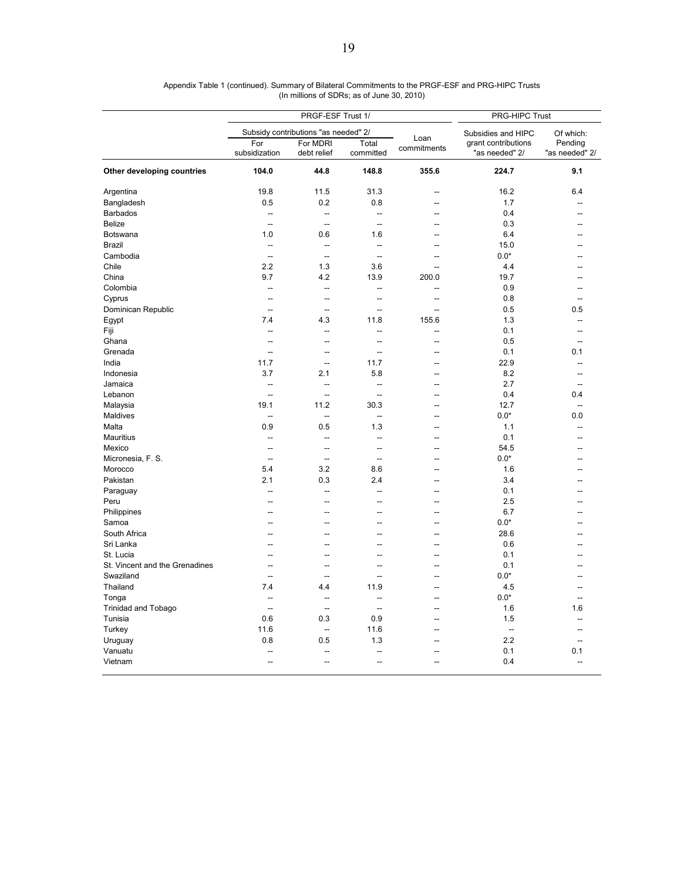|                                | PRGF-ESF Trust 1/        |                                      |                          |                     | PRG-HIPC Trust                        |                           |  |
|--------------------------------|--------------------------|--------------------------------------|--------------------------|---------------------|---------------------------------------|---------------------------|--|
|                                |                          | Subsidy contributions "as needed" 2/ | Subsidies and HIPC       | Of which:           |                                       |                           |  |
|                                | For<br>subsidization     | For MDRI<br>debt relief              | Total<br>committed       | Loan<br>commitments | grant contributions<br>"as needed" 2/ | Pending<br>"as needed" 2/ |  |
| Other developing countries     | 104.0                    | 44.8                                 | 148.8                    | 355.6               | 224.7                                 | 9.1                       |  |
| Argentina                      | 19.8                     | 11.5                                 | 31.3                     | --                  | 16.2                                  | 6.4                       |  |
| Bangladesh                     | 0.5                      | 0.2                                  | 0.8                      | $\overline{a}$      | 1.7                                   |                           |  |
| <b>Barbados</b>                | $\overline{\phantom{a}}$ | $\overline{a}$                       | $\overline{a}$           | $\overline{a}$      | 0.4                                   | --                        |  |
| <b>Belize</b>                  | --                       | $\overline{\phantom{a}}$             | --                       | --                  | 0.3                                   |                           |  |
| Botswana                       | 1.0                      | 0.6                                  | 1.6                      |                     | 6.4                                   |                           |  |
| Brazil                         | $\overline{a}$           | $\sim$                               | $\overline{a}$           | $\overline{a}$      | 15.0                                  |                           |  |
| Cambodia                       | $\overline{\phantom{a}}$ | $\overline{\phantom{a}}$             | $\overline{\phantom{a}}$ | --                  | $0.0*$                                |                           |  |
| Chile                          | 2.2                      | 1.3                                  | 3.6                      | $\sim$              | 4.4                                   |                           |  |
| China                          | 9.7                      | 4.2                                  | 13.9                     | 200.0               | 19.7                                  |                           |  |
| Colombia                       | -−                       | μ.                                   | --                       | --                  | 0.9                                   |                           |  |
| Cyprus                         | Ξ.                       | $\overline{a}$                       | Ξ.                       | $\overline{a}$      | 0.8                                   | $\overline{a}$            |  |
| Dominican Republic             | $\overline{a}$           | --                                   | Ξ.                       | $\overline{a}$      | 0.5                                   | 0.5                       |  |
| Egypt                          | 7.4                      | 4.3                                  | 11.8                     | 155.6               | 1.3                                   |                           |  |
| Fiji                           | --                       | $\overline{a}$                       | $\overline{a}$           | $\overline{a}$      | 0.1                                   | $\overline{a}$            |  |
| Ghana                          | --                       | --                                   | --                       | --                  | 0.5                                   | --                        |  |
| Grenada                        | Ξ.                       | --                                   | --                       | --                  | 0.1                                   | 0.1                       |  |
| India                          | 11.7                     | $\overline{\phantom{a}}$             | 11.7                     | $\overline{a}$      | 22.9                                  | --                        |  |
| Indonesia                      | 3.7                      | 2.1                                  | 5.8                      | --                  | 8.2                                   | $-$                       |  |
| Jamaica                        | --                       | μ.                                   | Ξ.                       | $\overline{a}$      | 2.7                                   | $\overline{a}$            |  |
| Lebanon                        | $\overline{a}$           | $\overline{a}$                       | $\overline{a}$           | $\overline{a}$      | 0.4                                   | 0.4                       |  |
| Malaysia                       | 19.1                     | 11.2                                 | 30.3                     | --                  | 12.7                                  | $\overline{a}$            |  |
| Maldives                       | $\overline{a}$           | $\overline{\phantom{a}}$             | -−                       | --                  | $0.0*$                                | 0.0                       |  |
| Malta                          | 0.9                      | 0.5                                  | 1.3                      | $\overline{a}$      | 1.1                                   | $\overline{a}$            |  |
| Mauritius                      | --                       | --                                   | --                       | --                  | 0.1                                   |                           |  |
| Mexico                         | --                       | $\overline{a}$                       | $\overline{\phantom{a}}$ | $\sim$              | 54.5                                  |                           |  |
| Micronesia, F. S.              | $\overline{a}$           | $\sim$                               | Ξ.                       | $\overline{a}$      | $0.0*$                                | --                        |  |
| Morocco                        | 5.4                      | 3.2                                  | 8.6                      | --                  | 1.6                                   |                           |  |
| Pakistan                       | 2.1                      | 0.3                                  | 2.4                      | $\sim$              | 3.4                                   |                           |  |
| Paraguay                       | $\overline{a}$           | $\overline{a}$                       | --                       | $\sim$              | 0.1                                   |                           |  |
| Peru                           | --                       | Ξ.                                   | --                       | ۵.                  | 2.5                                   |                           |  |
| Philippines                    | $\overline{a}$           | $\overline{a}$                       | $\overline{\phantom{a}}$ | $\sim$              | 6.7                                   |                           |  |
| Samoa                          | --                       | --                                   | --                       | --                  | $0.0*$                                |                           |  |
| South Africa                   |                          |                                      | --                       | ۵.                  | 28.6                                  |                           |  |
| Sri Lanka                      | --                       | $\overline{a}$                       | --                       | $\sim$              | 0.6                                   |                           |  |
| St. Lucia                      | -−                       | --                                   | Ξ.                       | ۵.                  | 0.1                                   |                           |  |
| St. Vincent and the Grenadines | --                       | Ξ.                                   | --                       | ÷.                  | 0.1                                   |                           |  |
| Swaziland                      | $\sim$                   | $\sim$                               | --                       | $\sim$              | $0.0*$                                | --                        |  |
| Thailand                       | 7.4                      | 4.4                                  | 11.9                     | --                  | 4.5                                   | --                        |  |
| Tonga                          | --                       | Ξ.                                   | Ξ.                       | $\overline{a}$      | $0.0*$                                | 44                        |  |
| <b>Trinidad and Tobago</b>     | $\overline{a}$           | $\overline{a}$                       | $\overline{a}$           | $\sim$              | 1.6                                   | 1.6                       |  |
| Tunisia                        | 0.6                      | 0.3                                  | 0.9                      | --                  | 1.5                                   |                           |  |
| Turkey                         | 11.6                     | ÷.                                   | 11.6                     | $\sim$              | Ξ.                                    | Ξ.                        |  |
| Uruguay                        | 0.8                      | 0.5                                  | 1.3                      | --                  | 2.2                                   | ٠.                        |  |
| Vanuatu                        | --                       | --                                   | --                       |                     | 0.1                                   | 0.1                       |  |
| Vietnam                        | $\sim$                   | $\sim$                               | --                       | $\sim$              | 0.4                                   | $\sim$                    |  |
|                                |                          |                                      |                          |                     |                                       |                           |  |

| Appendix Table 1 (continued). Summary of Bilateral Commitments to the PRGF-ESF and PRG-HIPC Trusts |
|----------------------------------------------------------------------------------------------------|
| (In millions of SDRs; as of June 30, 2010)                                                         |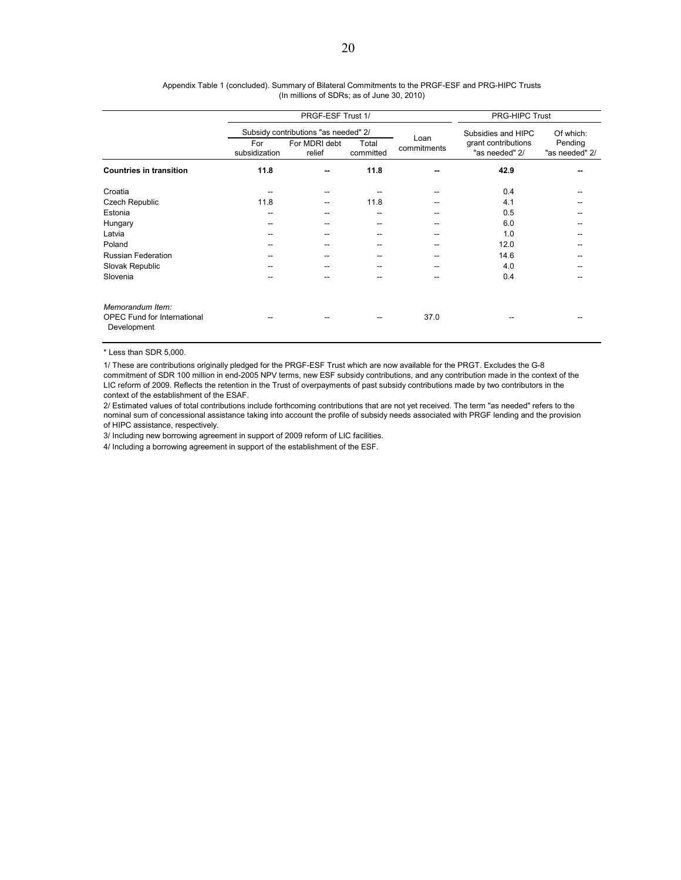|                                                                       |                      | PRGF-ESF Trust 1/                                               | <b>PRG-HIPC Trust</b> |                     |                                                             |                                        |
|-----------------------------------------------------------------------|----------------------|-----------------------------------------------------------------|-----------------------|---------------------|-------------------------------------------------------------|----------------------------------------|
|                                                                       | For<br>subsidization | Subsidy contributions "as needed" 2/<br>For MDRI debt<br>relief | Total<br>committed    | Loan<br>commitments | Subsidies and HIPC<br>grant contributions<br>"as needed" 2/ | Of which:<br>Pending<br>"as needed" 2/ |
| <b>Countries in transition</b>                                        | 11.8                 | --                                                              | 11.8                  |                     | 42.9                                                        |                                        |
| Croatia                                                               | --                   | --                                                              |                       |                     | 0.4                                                         |                                        |
| Czech Republic                                                        | 11.8                 | $- -$                                                           | 11.8                  |                     | 4.1                                                         |                                        |
| Estonia                                                               | --                   | --                                                              | --                    |                     | 0.5                                                         |                                        |
| Hungary                                                               | --                   |                                                                 |                       |                     | 6.0                                                         |                                        |
| Latvia                                                                | --                   | --                                                              | --                    |                     | 1.0                                                         |                                        |
| Poland                                                                | --                   |                                                                 |                       |                     | 12.0                                                        |                                        |
| <b>Russian Federation</b>                                             | --                   |                                                                 |                       |                     | 14.6                                                        |                                        |
| Slovak Republic                                                       | --                   |                                                                 |                       |                     | 4.0                                                         |                                        |
| Slovenia                                                              | --                   | --                                                              | --                    | --                  | 0.4                                                         | --                                     |
| Memorandum Item:<br><b>OPEC Fund for International</b><br>Development |                      |                                                                 |                       | 37.0                |                                                             |                                        |

#### (In millions of SDRs; as of June 30, 2010) Appendix Table 1 (concluded). Summary of Bilateral Commitments to the PRGF-ESF and PRG-HIPC Trusts

\* Less than SDR 5,000.

1/ These are contributions originally pledged for the PRGF-ESF Trust which are now available for the PRGT. Excludes the G-8 commitment of SDR 100 million in end-2005 NPV terms, new ESF subsidy contributions, and any contribution made in the context of the LIC reform of 2009. Reflects the retention in the Trust of overpayments of past subsidy contributions made by two contributors in the context of the establishment of the ESAF.

2/ Estimated values of total contributions include forthcoming contributions that are not yet received. The term "as needed" refers to the nominal sum of concessional assistance taking into account the profile of subsidy needs associated with PRGF lending and the provision of HIPC assistance, respectively.

3/ Including new borrowing agreement in support of 2009 reform of LIC facilities.

4/ Including a borrowing agreement in support of the establishment of the ESF.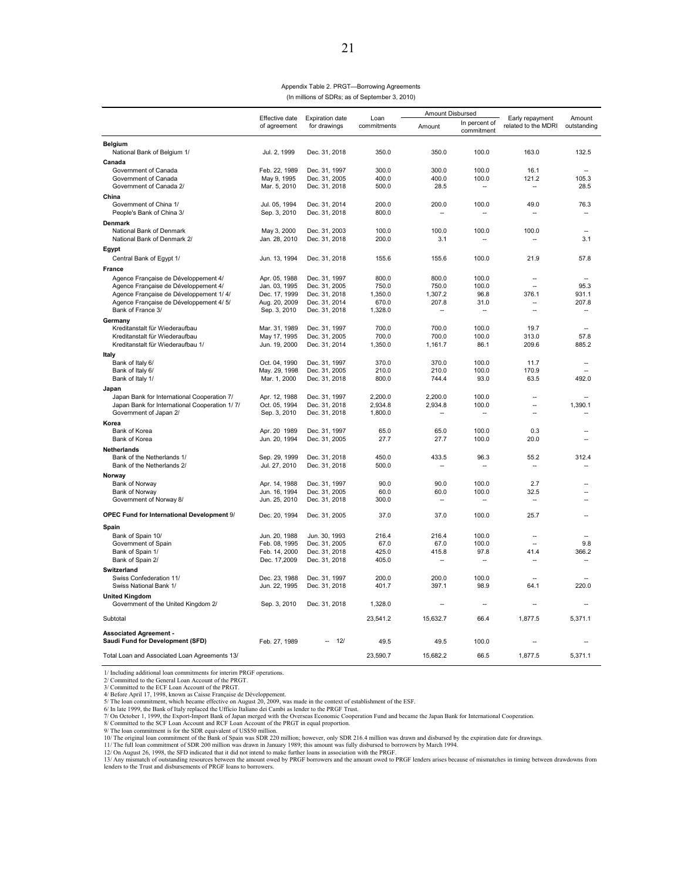| Appendix Table 2. PRGT-Borrowing Agreements    |
|------------------------------------------------|
| (In millions of SDRs; as of September 3, 2010) |

|                                                                   |                                |                                        |                     | Amount Disbursed         |                             |                                        |                          |
|-------------------------------------------------------------------|--------------------------------|----------------------------------------|---------------------|--------------------------|-----------------------------|----------------------------------------|--------------------------|
|                                                                   | Effective date<br>of agreement | <b>Expiration date</b><br>for drawings | Loan<br>commitments | Amount                   | In percent of<br>commitment | Early repayment<br>related to the MDRI | Amount<br>outstanding    |
| Belgium<br>National Bank of Belgium 1/                            | Jul. 2, 1999                   | Dec. 31, 2018                          | 350.0               | 350.0                    | 100.0                       | 163.0                                  | 132.5                    |
| Canada                                                            |                                |                                        |                     |                          |                             |                                        |                          |
| Government of Canada<br>Government of Canada                      | Feb. 22, 1989<br>May 9, 1995   | Dec. 31, 1997<br>Dec. 31, 2005         | 300.0<br>400.0      | 300.0<br>400.0           | 100.0<br>100.0              | 16.1<br>121.2                          | 105.3                    |
| Government of Canada 2/                                           | Mar. 5, 2010                   | Dec. 31, 2018                          | 500.0               | 28.5                     | $\overline{\phantom{a}}$    | --                                     | 28.5                     |
| China                                                             |                                |                                        |                     |                          |                             |                                        |                          |
| Government of China 1/<br>People's Bank of China 3/               | Jul. 05, 1994<br>Sep. 3, 2010  | Dec. 31, 2014<br>Dec. 31, 2018         | 200.0<br>800.0      | 200.0                    | 100.0                       | 49.0                                   | 76.3                     |
| Denmark                                                           |                                |                                        |                     |                          |                             |                                        |                          |
| National Bank of Denmark<br>National Bank of Denmark 2/           | May 3, 2000<br>Jan. 28, 2010   | Dec. 31, 2003<br>Dec. 31, 2018         | 100.0<br>200.0      | 100.0<br>3.1             | 100.0<br>--                 | 100.0<br>--                            | ÷<br>3.1                 |
| Egypt                                                             |                                |                                        |                     |                          |                             |                                        |                          |
| Central Bank of Egypt 1/                                          | Jun. 13, 1994                  | Dec. 31, 2018                          | 155.6               | 155.6                    | 100.0                       | 21.9                                   | 57.8                     |
| <b>France</b>                                                     |                                |                                        |                     |                          |                             |                                        |                          |
| Agence Française de Développement 4/                              | Apr. 05, 1988                  | Dec. 31, 1997                          | 800.0               | 800.0                    | 100.0                       | $\overline{a}$                         |                          |
| Agence Française de Développement 4/                              | Jan. 03, 1995                  | Dec. 31, 2005                          | 750.0               | 750.0                    | 100.0                       | L.                                     | 95.3                     |
| Agence Française de Développement 1/4/                            | Dec. 17, 1999                  | Dec. 31, 2018                          | 1.350.0             | 1.307.2                  | 96.8                        | 376.1                                  | 931.1                    |
| Agence Française de Développement 4/ 5/                           | Aug. 20, 2009                  | Dec. 31, 2014                          | 670.0               | 207.8                    | 31.0                        | $\overline{\phantom{a}}$               | 207.8                    |
| Bank of France 3/                                                 | Sep. 3, 2010                   | Dec. 31, 2018                          | 1,328.0             | $\overline{a}$           | $\overline{\phantom{a}}$    | $\sim$                                 | ÷.                       |
| Germany                                                           |                                |                                        |                     |                          |                             |                                        |                          |
| Kreditanstalt für Wiederaufbau                                    | Mar. 31, 1989                  | Dec. 31, 1997                          | 700.0               | 700.0                    | 100.0                       | 19.7                                   | $\overline{\phantom{a}}$ |
| Kreditanstalt für Wiederaufbau                                    | May 17, 1995                   | Dec. 31, 2005                          | 700.0               | 700.0                    | 100.0                       | 313.0                                  | 57.8                     |
| Kreditanstalt für Wiederaufbau 1/                                 | Jun. 19, 2000                  | Dec. 31, 2014                          | 1,350.0             | 1,161.7                  | 86.1                        | 209.6                                  | 885.2                    |
| Italy                                                             |                                |                                        |                     |                          |                             |                                        |                          |
| Bank of Italy 6/<br>Bank of Italy 6/                              | Oct. 04, 1990<br>May. 29, 1998 | Dec. 31, 1997<br>Dec. 31, 2005         | 370.0<br>210.0      | 370.0<br>210.0           | 100.0<br>100.0              | 11.7<br>170.9                          | Ξ.                       |
| Bank of Italy 1/                                                  | Mar. 1, 2000                   | Dec. 31, 2018                          | 800.0               | 744.4                    | 93.0                        | 63.5                                   | 492.0                    |
| Japan                                                             |                                |                                        |                     |                          |                             |                                        |                          |
| Japan Bank for International Cooperation 7/                       | Apr. 12, 1988                  | Dec. 31, 1997                          | 2,200.0             | 2,200.0                  | 100.0                       | Ξ.                                     |                          |
| Japan Bank for International Cooperation 1/7/                     | Oct. 05, 1994                  | Dec. 31, 2018                          | 2,934.8             | 2,934.8                  | 100.0                       | --                                     | 1,390.1                  |
| Government of Japan 2/                                            | Sep. 3, 2010                   | Dec. 31, 2018                          | 1,800.0             | --                       | $\overline{\phantom{a}}$    |                                        |                          |
| Korea                                                             |                                |                                        |                     |                          |                             |                                        |                          |
| Bank of Korea                                                     | Apr. 20 1989                   | Dec. 31, 1997                          | 65.0                | 65.0                     | 100.0                       | 0.3                                    |                          |
| Bank of Korea                                                     | Jun. 20, 1994                  | Dec. 31, 2005                          | 27.7                | 27.7                     | 100.0                       | 20.0                                   |                          |
| <b>Netherlands</b>                                                |                                |                                        |                     |                          |                             |                                        |                          |
| Bank of the Netherlands 1/                                        | Sep. 29, 1999                  | Dec. 31, 2018                          | 450.0               | 433.5                    | 96.3                        | 55.2                                   | 312.4                    |
| Bank of the Netherlands 2/                                        | Jul. 27, 2010                  | Dec. 31, 2018                          | 500.0               |                          | Ξ.                          |                                        |                          |
| Norway                                                            |                                |                                        |                     |                          |                             |                                        |                          |
| Bank of Norway                                                    | Apr. 14, 1988<br>Jun. 16, 1994 | Dec. 31, 1997                          | 90.0<br>60.0        | 90.0<br>60.0             | 100.0<br>100.0              | 2.7<br>32.5                            |                          |
| Bank of Norway<br>Government of Norway 8/                         | Jun. 25, 2010                  | Dec. 31, 2005<br>Dec. 31, 2018         | 300.0               | $\overline{\phantom{a}}$ | $\overline{a}$              | --                                     |                          |
| OPEC Fund for International Development 9/                        | Dec. 20, 1994                  | Dec. 31, 2005                          | 37.0                | 37.0                     | 100.0                       | 25.7                                   |                          |
|                                                                   |                                |                                        |                     |                          |                             |                                        |                          |
| Spain                                                             |                                |                                        |                     |                          |                             |                                        |                          |
| Bank of Spain 10/                                                 | Jun. 20, 1988                  | Jun. 30, 1993                          | 216.4               | 216.4<br>67.0            | 100.0<br>100.0              | $\sim$<br>ш.                           |                          |
| Government of Spain<br>Bank of Spain 1/                           | Feb. 08, 1995<br>Feb. 14, 2000 | Dec. 31, 2005<br>Dec. 31, 2018         | 67.0<br>425.0       | 415.8                    | 97.8                        | 41.4                                   | 9.8<br>366.2             |
| Bank of Spain 2/                                                  | Dec. 17,2009                   | Dec. 31, 2018                          | 405.0               | --                       | --                          | --                                     |                          |
| Switzerland                                                       |                                |                                        |                     |                          |                             |                                        |                          |
| Swiss Confederation 11/                                           | Dec. 23, 1988                  | Dec. 31, 1997                          | 200.0               | 200.0                    | 100.0                       |                                        |                          |
| Swiss National Bank 1/                                            | Jun. 22, 1995                  | Dec. 31, 2018                          | 401.7               | 397.1                    | 98.9                        | 64.1                                   | 220.0                    |
| <b>United Kingdom</b>                                             |                                |                                        |                     |                          |                             |                                        |                          |
| Government of the United Kingdom 2/                               | Sep. 3, 2010                   | Dec. 31, 2018                          | 1,328.0             | $\overline{\phantom{a}}$ | $\overline{\phantom{a}}$    | $\sim$                                 |                          |
| Subtotal                                                          |                                |                                        | 23,541.2            | 15,632.7                 | 66.4                        | 1,877.5                                | 5,371.1                  |
| <b>Associated Agreement -</b><br>Saudi Fund for Development (SFD) | Feb. 27, 1989                  | 121                                    | 49.5                | 49.5                     | 100.0                       |                                        |                          |
| Total Loan and Associated Loan Agreements 13/                     |                                |                                        | 23.590.7            | 15.682.2                 | 66.5                        | 1,877.5                                | 5,371.1                  |

1/ Including additional loan commitments for interim PRGF operations.

2/ Committed to the General Loan Account of the PRGT. 3/ Committed to the ECF Loan Account of the PRGT.

4/ Before April 17, 1998, known as Caisse Française de Développement.<br>5/ The loan commitment, which became effective on August 20, 2009, was made in the context of establishment of the ESF.<br>6/ In late 1999, the Bank of Ita

8/ Committed to the SCF Loan Account and RCF Loan Account of the PRGT in equal proportion.<br>9/ The loan commitment is for the SDR equivalent of USS50 million.<br>10/ The original loan commitment of the Bank of Spain was SDR 22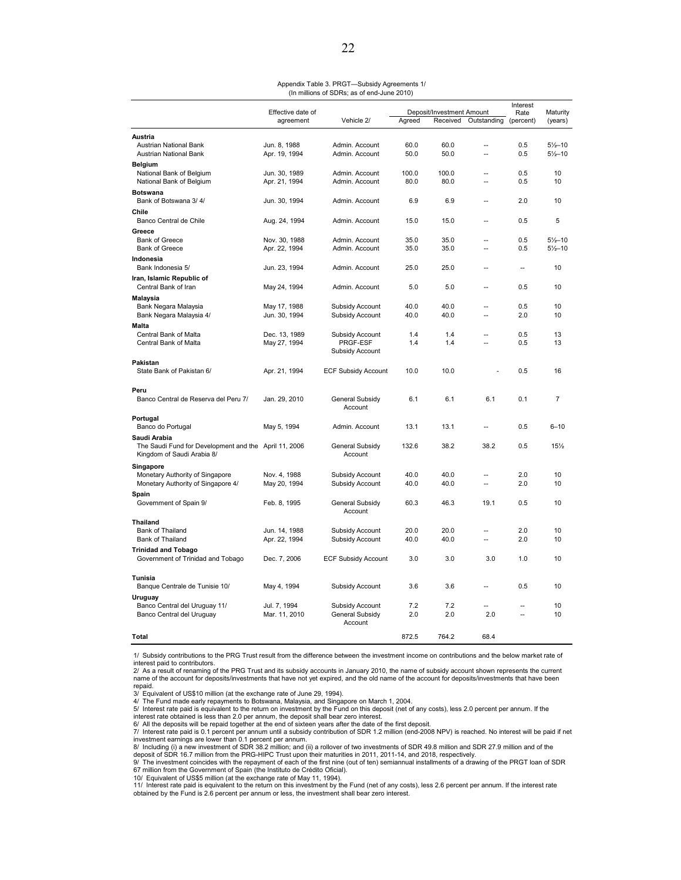| Appendix Table 3. PRGT-Subsidy Agreements 1/ |  |
|----------------------------------------------|--|
| (In millions of SDRs; as of end-June 2010)   |  |

|                                                       |                   |                            |        |                           | Interest                 |           |                    |
|-------------------------------------------------------|-------------------|----------------------------|--------|---------------------------|--------------------------|-----------|--------------------|
|                                                       | Effective date of |                            |        | Deposit/Investment Amount |                          | Rate      | Maturity           |
|                                                       | agreement         | Vehicle 2/                 | Agreed | Received                  | Outstanding              | (percent) | (years)            |
| Austria                                               |                   |                            |        |                           |                          |           |                    |
| Austrian National Bank                                | Jun. 8, 1988      | Admin. Account             | 60.0   | 60.0                      | $\overline{\phantom{a}}$ | 0.5       | $5\frac{1}{2}$ -10 |
| Austrian National Bank                                | Apr. 19, 1994     | Admin. Account             | 50.0   | 50.0                      | Ξ.                       | 0.5       | $5\frac{1}{2}$ -10 |
| <b>Belgium</b>                                        |                   |                            |        |                           |                          |           |                    |
|                                                       | Jun. 30, 1989     | Admin. Account             | 100.0  | 100.0                     |                          | 0.5       | 10                 |
| National Bank of Belgium<br>National Bank of Belgium  | Apr. 21, 1994     | Admin. Account             | 80.0   | 80.0                      | $\overline{a}$           | 0.5       | 10                 |
|                                                       |                   |                            |        |                           |                          |           |                    |
| <b>Botswana</b>                                       |                   |                            |        |                           |                          |           |                    |
| Bank of Botswana 3/4/                                 | Jun. 30, 1994     | Admin. Account             | 6.9    | 6.9                       |                          | 2.0       | 10                 |
| Chile                                                 |                   |                            |        |                           |                          |           |                    |
| Banco Central de Chile                                | Aug. 24, 1994     | Admin. Account             | 15.0   | 15.0                      |                          | 0.5       | 5                  |
| Greece                                                |                   |                            |        |                           |                          |           |                    |
| <b>Bank of Greece</b>                                 | Nov. 30, 1988     | Admin. Account             | 35.0   | 35.0                      | μ.                       | 0.5       | $5\frac{1}{2}$ -10 |
| <b>Bank of Greece</b>                                 | Apr. 22, 1994     | Admin. Account             | 35.0   | 35.0                      | $\overline{a}$           | 0.5       | $5\frac{1}{2}$ -10 |
| Indonesia                                             |                   |                            |        |                           |                          |           |                    |
| Bank Indonesia 5/                                     | Jun. 23, 1994     | Admin. Account             | 25.0   | 25.0                      |                          | ц.        | 10                 |
| Iran, Islamic Republic of                             |                   |                            |        |                           |                          |           |                    |
| Central Bank of Iran                                  | May 24, 1994      | Admin. Account             | 5.0    | 5.0                       | $\overline{a}$           | 0.5       | 10                 |
|                                                       |                   |                            |        |                           |                          |           |                    |
| Malaysia                                              |                   |                            | 40.0   | 40.0                      | ä.                       | 0.5       | 10                 |
| Bank Negara Malaysia                                  | May 17, 1988      | Subsidy Account            | 40.0   | 40.0                      |                          | 2.0       | 10                 |
| Bank Negara Malaysia 4/                               | Jun. 30, 1994     | Subsidy Account            |        |                           | μ.                       |           |                    |
| Malta                                                 |                   |                            |        |                           |                          |           |                    |
| Central Bank of Malta                                 | Dec. 13, 1989     | Subsidy Account            | 1.4    | 1.4                       | --                       | 0.5       | 13                 |
| Central Bank of Malta                                 | May 27, 1994      | PRGF-ESF                   | 1.4    | 1.4                       | $\sim$                   | 0.5       | 13                 |
|                                                       |                   | Subsidy Account            |        |                           |                          |           |                    |
| <b>Pakistan</b>                                       |                   |                            |        |                           |                          |           |                    |
| State Bank of Pakistan 6/                             | Apr. 21, 1994     | <b>ECF Subsidy Account</b> | 10.0   | 10.0                      |                          | 0.5       | 16                 |
|                                                       |                   |                            |        |                           |                          |           |                    |
| Peru                                                  |                   |                            |        |                           |                          |           |                    |
| Banco Central de Reserva del Peru 7/                  | Jan. 29, 2010     | General Subsidy            | 6.1    | 6.1                       | 6.1                      | 0.1       | 7                  |
|                                                       |                   | Account                    |        |                           |                          |           |                    |
| Portugal                                              |                   |                            |        |                           |                          |           |                    |
| Banco do Portugal                                     | May 5, 1994       | Admin. Account             | 13.1   | 13.1                      | Ц.                       | 0.5       | $6 - 10$           |
| Saudi Arabia                                          |                   |                            |        |                           |                          |           |                    |
| The Saudi Fund for Development and the April 11, 2006 |                   | General Subsidy            | 132.6  | 38.2                      | 38.2                     | 0.5       | 15%                |
| Kingdom of Saudi Arabia 8/                            |                   | Account                    |        |                           |                          |           |                    |
| Singapore                                             |                   |                            |        |                           |                          |           |                    |
| Monetary Authority of Singapore                       | Nov. 4, 1988      | Subsidy Account            | 40.0   | 40.0                      | $\overline{a}$           | 2.0       | 10                 |
| Monetary Authority of Singapore 4/                    | May 20, 1994      | Subsidy Account            | 40.0   | 40.0                      | ä.                       | 2.0       | 10                 |
|                                                       |                   |                            |        |                           |                          |           |                    |
| Spain                                                 |                   |                            |        |                           |                          |           |                    |
| Government of Spain 9/                                | Feb. 8, 1995      | General Subsidy            | 60.3   | 46.3                      | 19.1                     | 0.5       | 10                 |
|                                                       |                   | Account                    |        |                           |                          |           |                    |
| <b>Thailand</b>                                       |                   |                            |        |                           |                          |           |                    |
| Bank of Thailand                                      | Jun. 14, 1988     | Subsidy Account            | 20.0   | 20.0                      |                          | 2.0       | 10                 |
| Bank of Thailand                                      | Apr. 22, 1994     | Subsidy Account            | 40.0   | 40.0                      |                          | 2.0       | 10                 |
| <b>Trinidad and Tobago</b>                            |                   |                            |        |                           |                          |           |                    |
| Government of Trinidad and Tobago                     | Dec. 7, 2006      | <b>ECF Subsidy Account</b> | 3.0    | 3.0                       | 3.0                      | 1.0       | 10                 |
|                                                       |                   |                            |        |                           |                          |           |                    |
| Tunisia                                               |                   |                            |        |                           |                          |           |                    |
| Banque Centrale de Tunisie 10/                        | May 4, 1994       | Subsidy Account            | 3.6    | 3.6                       |                          | 0.5       | 10                 |
| Uruguay                                               |                   |                            |        |                           |                          |           |                    |
| Banco Central del Uruguay 11/                         | Jul. 7, 1994      | Subsidy Account            | 7.2    | 7.2                       | ä.                       |           | 10                 |
| Banco Central del Uruguay                             | Mar. 11, 2010     | General Subsidy            | 2.0    | 2.0                       | 2.0                      |           | 10                 |
|                                                       |                   | Account                    |        |                           |                          |           |                    |
| Total                                                 |                   |                            | 872.5  | 764.2                     | 68.4                     |           |                    |
|                                                       |                   |                            |        |                           |                          |           |                    |

1/ Subsidy contributions to the PRG Trust result from the difference between the investment income on contributions and the below market rate of interest paid to contributors.

2/ As a result of renaming of the PRG Trust and its subsidy accounts in January 2010, the name of subsidy account shown represents the current<br>name of the account for deposits/investments that have not yet expired, and the repaid.

3/ Equivalent of US\$10 million (at the exchange rate of June 29, 1994). 4/ The Fund made early repayments to Botswana, Malaysia, and Singapore on March 1, 2004.

5/ Interest rate paid is equivalent to the return on investment by the Fund on this deposit (net of any costs), less 2.0 percent per annum. If the interest rate obtained is less than 2.0 per annum, the deposit shall bear zero interest.

6/ All the deposits will be repaid together at the end of sixteen years after the date of the first deposit.<br>7/ Interest rate paid is 0.1 percent per annum until a subsidy contribution of SDR 1.2 million (end-2008 NPV) i

8/ Including (i) a new investment of SDR 38.2 million; and (ii) a rollover of two investments of SDR 49.8 million and SDR 27.9 million and of the<br>deposit of SDR 16.7 million from the PRG-HIPC Trust upon their maturities i

67 million from the Government of Spain (the Instituto de Crédito Oficial). 10/ Equivalent of US\$5 million (at the exchange rate of May 11, 1994).

11/ Interest rate paid is equivalent to the return on this investment by the Fund (net of any costs), less 2.6 percent per annum. If the interest rate obtained by the Fund is 2.6 percent per annum or less, the investment shall bear zero interest.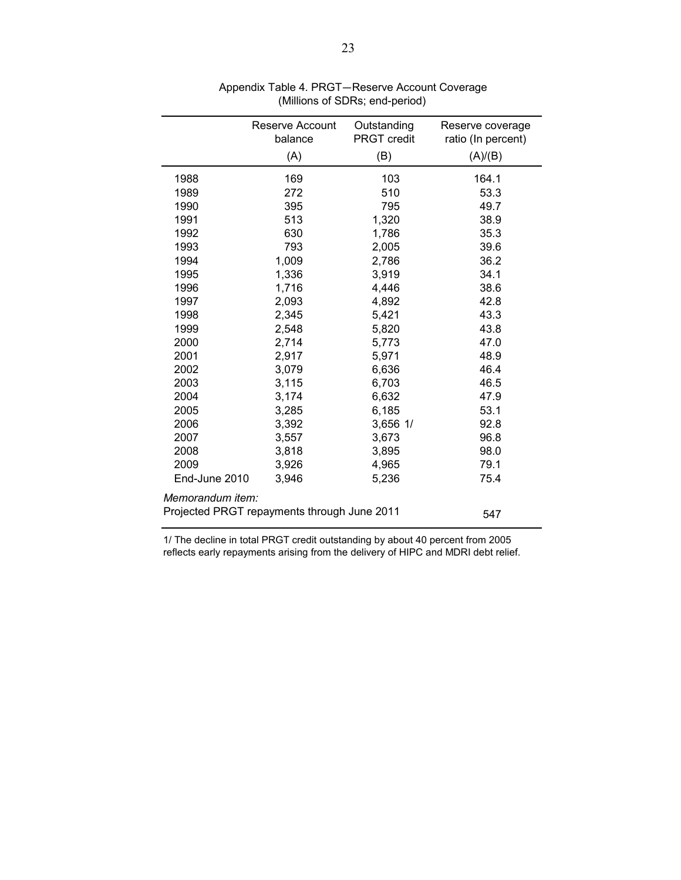|                                             | Reserve Account<br>balance | Outstanding<br><b>PRGT</b> credit | Reserve coverage<br>ratio (In percent) |
|---------------------------------------------|----------------------------|-----------------------------------|----------------------------------------|
|                                             | (A)                        | (B)                               | (A)/(B)                                |
| 1988                                        | 169                        | 103                               | 164.1                                  |
| 1989                                        | 272                        | 510                               | 53.3                                   |
| 1990                                        | 395                        | 795                               | 49.7                                   |
| 1991                                        | 513                        | 1,320                             | 38.9                                   |
| 1992                                        | 630                        | 1,786                             | 35.3                                   |
| 1993                                        | 793                        | 2,005                             | 39.6                                   |
| 1994                                        | 1,009                      | 2,786                             | 36.2                                   |
| 1995                                        | 1,336                      | 3,919                             | 34.1                                   |
| 1996                                        | 1,716                      | 4,446                             | 38.6                                   |
| 1997                                        | 2,093                      | 4,892                             | 42.8                                   |
| 1998                                        | 2,345                      | 5,421                             | 43.3                                   |
| 1999                                        | 2,548                      | 5,820                             | 43.8                                   |
| 2000                                        | 2,714                      | 5,773                             | 47.0                                   |
| 2001                                        | 2,917                      | 5,971                             | 48.9                                   |
| 2002                                        | 3,079                      | 6,636                             | 46.4                                   |
| 2003                                        | 3,115                      | 6,703                             | 46.5                                   |
| 2004                                        | 3,174                      | 6,632                             | 47.9                                   |
| 2005                                        | 3,285                      | 6,185                             | 53.1                                   |
| 2006                                        | 3,392                      | 3,656 1/                          | 92.8                                   |
| 2007                                        | 3,557                      | 3,673                             | 96.8                                   |
| 2008                                        | 3,818                      | 3,895                             | 98.0                                   |
| 2009                                        | 3,926                      | 4,965                             | 79.1                                   |
| End-June 2010                               | 3,946                      | 5,236                             | 75.4                                   |
| Memorandum item:                            |                            |                                   |                                        |
| Projected PRGT repayments through June 2011 |                            | 547                               |                                        |

 Appendix Table 4. PRGT—Reserve Account Coverage (Millions of SDRs; end-period)

1/ The decline in total PRGT credit outstanding by about 40 percent from 2005 reflects early repayments arising from the delivery of HIPC and MDRI debt relief.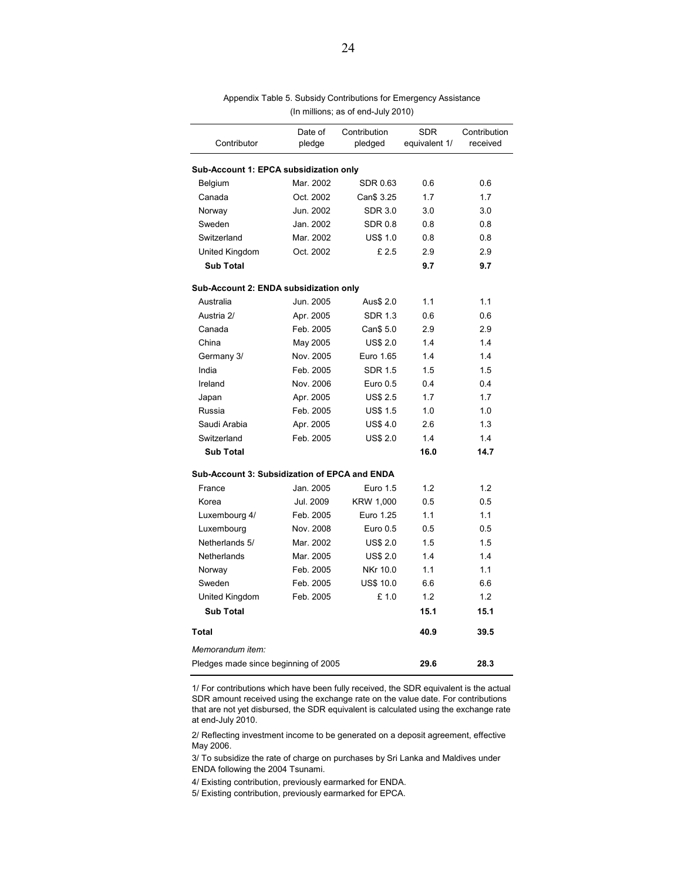| Contributor                                   | Date of<br>pledge | Contribution<br>pledged | <b>SDR</b><br>equivalent 1/ | Contribution<br>received |
|-----------------------------------------------|-------------------|-------------------------|-----------------------------|--------------------------|
|                                               |                   |                         |                             |                          |
| Sub-Account 1: EPCA subsidization only        |                   |                         |                             |                          |
| Belgium                                       | Mar. 2002         | <b>SDR 0.63</b>         | 0.6                         | 0.6                      |
| Canada                                        | Oct. 2002         | Can\$ 3.25              | 1.7                         | 1.7                      |
| Norway                                        | Jun. 2002         | <b>SDR 3.0</b>          | 3.0                         | 3.0                      |
| Sweden                                        | Jan. 2002         | <b>SDR 0.8</b>          | 0.8                         | 0.8                      |
| Switzerland                                   | Mar. 2002         | <b>US\$ 1.0</b>         | 0.8                         | 0.8                      |
| United Kingdom                                | Oct. 2002         | £2.5                    | 2.9                         | 2.9                      |
| <b>Sub Total</b>                              |                   |                         | 9.7                         | 9.7                      |
| Sub-Account 2: ENDA subsidization only        |                   |                         |                             |                          |
| Australia                                     | Jun. 2005         | Aus\$ 2.0               | 1.1                         | 1.1                      |
| Austria 2/                                    | Apr. 2005         | <b>SDR 1.3</b>          | 0.6                         | 0.6                      |
| Canada                                        | Feb. 2005         | Can\$ 5.0               | 2.9                         | 2.9                      |
| China                                         | May 2005          | <b>US\$ 2.0</b>         | 1.4                         | 1.4                      |
| Germany 3/                                    | Nov. 2005         | Euro 1.65               | 1.4                         | 1.4                      |
| India                                         | Feb. 2005         | <b>SDR 1.5</b>          | 1.5                         | 1.5                      |
| Ireland                                       | Nov. 2006         | Euro 0.5                | 0.4                         | 0.4                      |
| Japan                                         | Apr. 2005         | <b>US\$ 2.5</b>         | 1.7                         | 1.7                      |
| Russia                                        | Feb. 2005         | <b>US\$ 1.5</b>         | 1.0                         | 1.0                      |
| Saudi Arabia                                  | Apr. 2005         | <b>US\$4.0</b>          | 2.6                         | 1.3                      |
| Switzerland                                   | Feb. 2005         | <b>US\$ 2.0</b>         | 1.4                         | 1.4                      |
| <b>Sub Total</b>                              |                   |                         | 16.0                        | 14.7                     |
| Sub-Account 3: Subsidization of EPCA and ENDA |                   |                         |                             |                          |
| France                                        | Jan. 2005         | Euro 1.5                | 1.2                         | 1.2                      |
| Korea                                         | Jul. 2009         | KRW 1,000               | 0.5                         | 0.5                      |
| Luxembourg 4/                                 | Feb. 2005         | Euro 1.25               | 1.1                         | 1.1                      |
| Luxembourg                                    | Nov. 2008         | Euro 0.5                | 0.5                         | 0.5                      |
| Netherlands 5/                                | Mar. 2002         | <b>US\$ 2.0</b>         | 1.5                         | 1.5                      |
| Netherlands                                   | Mar. 2005         | <b>US\$ 2.0</b>         | 1.4                         | 1.4                      |
| Norway                                        | Feb. 2005         | NKr 10.0                | 1.1                         | 1.1                      |
| Sweden                                        | Feb. 2005         | <b>US\$ 10.0</b>        | 6.6                         | 6.6                      |
| United Kingdom                                | Feb. 2005         | £ 1.0                   | 1.2                         | 1.2                      |
| <b>Sub Total</b>                              |                   |                         | 15.1                        | 15.1                     |
| Total                                         |                   |                         | 40.9                        | 39.5                     |
| Memorandum item:                              |                   |                         |                             |                          |
| Pledges made since beginning of 2005          | 29.6              | 28.3                    |                             |                          |

Appendix Table 5. Subsidy Contributions for Emergency Assistance (In millions; as of end-July 2010)

1/ For contributions which have been fully received, the SDR equivalent is the actual SDR amount received using the exchange rate on the value date. For contributions that are not yet disbursed, the SDR equivalent is calculated using the exchange rate at end-July 2010.

2/ Reflecting investment income to be generated on a deposit agreement, effective May 2006.

3/ To subsidize the rate of charge on purchases by Sri Lanka and Maldives under ENDA following the 2004 Tsunami.

4/ Existing contribution, previously earmarked for ENDA.

5/ Existing contribution, previously earmarked for EPCA.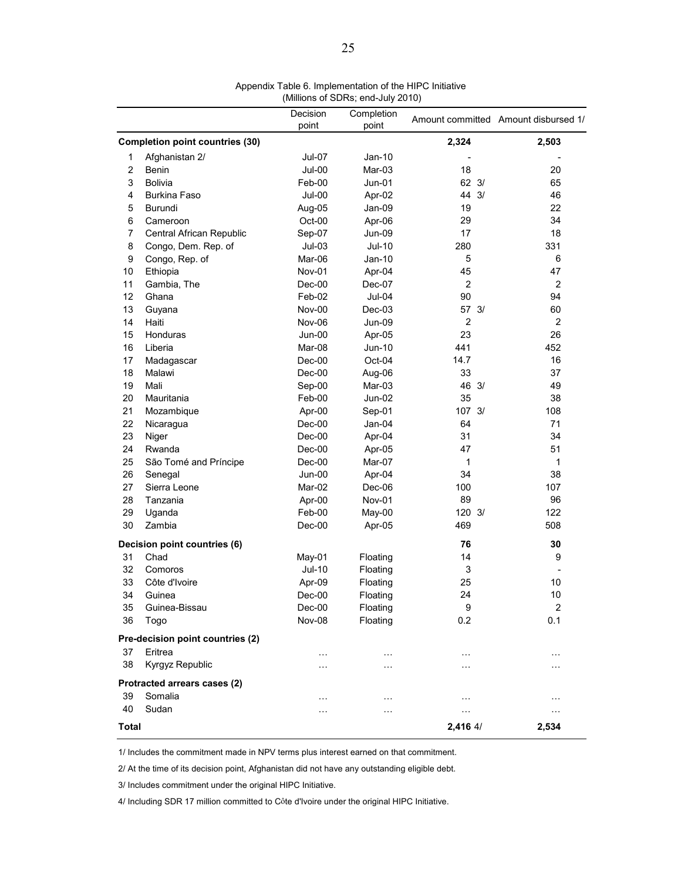|                |                                        | Decision      | Completion    |                   | Amount committed Amount disbursed 1/ |
|----------------|----------------------------------------|---------------|---------------|-------------------|--------------------------------------|
|                |                                        | point         | point         |                   |                                      |
|                | <b>Completion point countries (30)</b> |               |               | 2,324             | 2,503                                |
| 1              | Afghanistan 2/                         | Jul-07        | Jan-10        |                   |                                      |
| $\overline{c}$ | Benin                                  | <b>Jul-00</b> | Mar-03        | 18                | 20                                   |
| 3              | <b>Bolivia</b>                         | Feb-00        | $Jun-01$      | $62 \frac{3}{2}$  | 65                                   |
| 4              | Burkina Faso                           | <b>Jul-00</b> | Apr-02        | 44 3/             | 46                                   |
| 5              | Burundi                                | Aug-05        | Jan-09        | 19                | 22                                   |
| 6              | Cameroon                               | Oct-00        | Apr-06        | 29                | 34                                   |
| 7              | Central African Republic               | Sep-07        | Jun-09        | 17                | 18                                   |
| 8              | Congo, Dem. Rep. of                    | $Jul-03$      | Jul-10        | 280               | 331                                  |
| 9              | Congo, Rep. of                         | Mar-06        | Jan-10        | 5                 | 6                                    |
| 10             | Ethiopia                               | Nov-01        | Apr-04        | 45                | 47                                   |
| 11             | Gambia, The                            | $Dec-00$      | Dec-07        | 2                 | $\overline{2}$                       |
| 12             | Ghana                                  | Feb-02        | $Jul-04$      | 90                | 94                                   |
| 13             | Guyana                                 | Nov-00        | $Dec-03$      | 57 3/             | 60                                   |
| 14             | Haiti                                  | <b>Nov-06</b> | <b>Jun-09</b> | $\overline{2}$    | $\overline{2}$                       |
| 15             | Honduras                               | <b>Jun-00</b> | Apr-05        | 23                | 26                                   |
| 16             | Liberia                                | Mar-08        | Jun-10        | 441               | 452                                  |
| 17             | Madagascar                             | $Dec-00$      | Oct-04        | 14.7              | 16                                   |
| 18             | Malawi                                 | $Dec-00$      | Aug-06        | 33                | 37                                   |
| 19             | Mali                                   | Sep-00        | Mar-03        | 46 3/             | 49                                   |
| 20             | Mauritania                             | Feb-00        | Jun-02        | 35                | 38                                   |
| 21             | Mozambique                             | Apr-00        | Sep-01        | $107 \frac{3}{1}$ | 108                                  |
| 22             | Nicaragua                              | $Dec-00$      | $Jan-04$      | 64                | 71                                   |
| 23             | Niger                                  | $Dec-00$      | Apr-04        | 31                | 34                                   |
| 24             | Rwanda                                 | $Dec-00$      | Apr-05        | 47                | 51                                   |
| 25             | São Tomé and Príncipe                  | $Dec-00$      | Mar-07        | 1                 | 1                                    |
| 26             | Senegal                                | <b>Jun-00</b> | Apr-04        | 34                | 38                                   |
| 27             | Sierra Leone                           | Mar-02        | Dec-06        | 100               | 107                                  |
| 28             | Tanzania                               | Apr-00        | Nov-01        | 89                | 96                                   |
| 29             | Uganda                                 | Feb-00        | May-00        | 120 3/            | 122                                  |
| 30             | Zambia                                 | Dec-00        | Apr-05        | 469               | 508                                  |
|                | Decision point countries (6)           |               |               | 76                | 30                                   |
| 31             | Chad                                   | May-01        | Floating      | 14                | 9                                    |
| 32             | Comoros                                | <b>Jul-10</b> | Floating      | 3                 |                                      |
| 33             | Côte d'Ivoire                          | Apr-09        | Floating      | 25                | 10                                   |
| 34             | Guinea                                 | $Dec-00$      | Floating      | 24                | 10                                   |
| 35             | Guinea-Bissau                          | Dec-00        | Floating      | 9                 | 2                                    |
| 36             | Togo                                   | Nov-08        | Floating      | 0.2               | 0.1                                  |
|                | Pre-decision point countries (2)       |               |               |                   |                                      |
| 37             | Eritrea                                | $\cdots$      | $\cdots$      | $\cdots$          | $\cdots$                             |
| 38             | Kyrgyz Republic                        | .             | $\cdots$      | $\cdots$          | $\cdots$                             |
|                | Protracted arrears cases (2)           |               |               |                   |                                      |
| 39             | Somalia                                | .             | .             | $\ddotsc$         | $\cdots$                             |
| 40             | Sudan                                  | .             | .             | $\cdots$          | $\cdots$                             |
| Total          |                                        |               |               | 2,416 4/          | 2,534                                |

Appendix Table 6. Implementation of the HIPC Initiative (Millions of SDRs; end-July 2010)

1/ Includes the commitment made in NPV terms plus interest earned on that commitment.

2/ At the time of its decision point, Afghanistan did not have any outstanding eligible debt.

3/ Includes commitment under the original HIPC Initiative.

4/ Including SDR 17 million committed to Côte d'Ivoire under the original HIPC Initiative.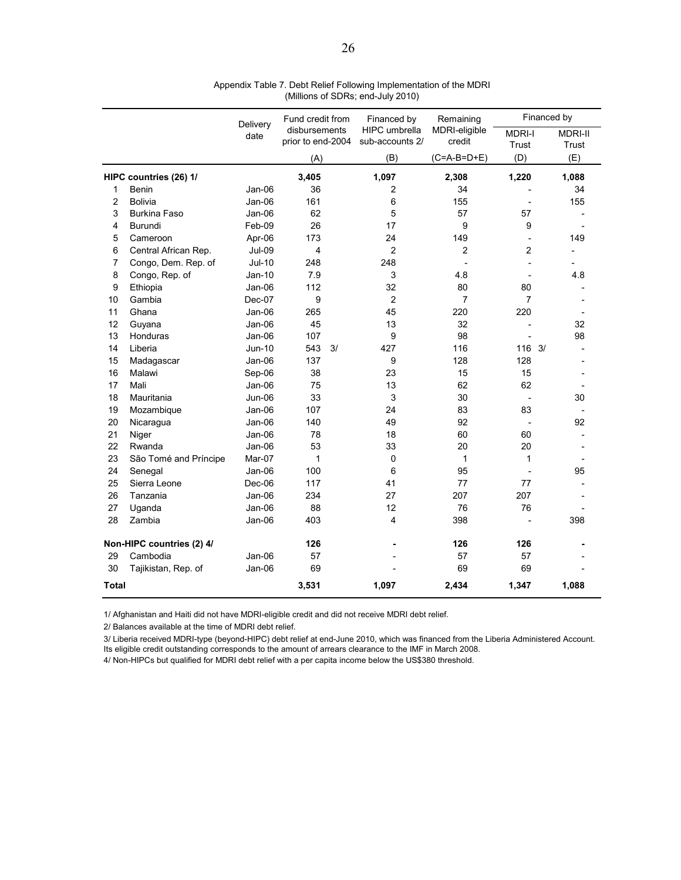|       |                           | Delivery      | Fund credit from                   | Financed by                             | Remaining<br>MDRI-eligible<br>credit | Financed by            |                         |
|-------|---------------------------|---------------|------------------------------------|-----------------------------------------|--------------------------------------|------------------------|-------------------------|
|       |                           | date          | disbursements<br>prior to end-2004 | <b>HIPC</b> umbrella<br>sub-accounts 2/ |                                      | <b>MDRI-I</b><br>Trust | <b>MDRI-II</b><br>Trust |
|       |                           |               | (A)                                | (B)                                     | $(C=A-B=D+E)$                        | (D)                    | (E)                     |
|       | HIPC countries (26) 1/    |               | 3,405                              | 1.097                                   | 2,308                                | 1,220                  | 1,088                   |
| 1     | Benin                     | Jan-06        | 36                                 | $\overline{c}$                          | 34                                   |                        | 34                      |
| 2     | Bolivia                   | Jan-06        | 161                                | 6                                       | 155                                  |                        | 155                     |
| 3     | <b>Burkina Faso</b>       | Jan-06        | 62                                 | 5                                       | 57                                   | 57                     |                         |
| 4     | Burundi                   | Feb-09        | 26                                 | 17                                      | 9                                    | 9                      |                         |
| 5     | Cameroon                  | Apr-06        | 173                                | 24                                      | 149                                  |                        | 149                     |
| 6     | Central African Rep.      | <b>Jul-09</b> | 4                                  | $\overline{2}$                          | $\overline{c}$                       | 2                      |                         |
| 7     | Congo, Dem. Rep. of       | <b>Jul-10</b> | 248                                | 248                                     |                                      |                        |                         |
| 8     | Congo, Rep. of            | Jan-10        | 7.9                                | 3                                       | 4.8                                  | $\overline{a}$         | 4.8                     |
| 9     | Ethiopia                  | Jan-06        | 112                                | 32                                      | 80                                   | 80                     |                         |
| 10    | Gambia                    | Dec-07        | 9                                  | $\overline{2}$                          | $\overline{7}$                       | $\overline{7}$         |                         |
| 11    | Ghana                     | Jan-06        | 265                                | 45                                      | 220                                  | 220                    |                         |
| 12    | Guyana                    | Jan-06        | 45                                 | 13                                      | 32                                   |                        | 32                      |
| 13    | Honduras                  | Jan-06        | 107                                | $\boldsymbol{9}$                        | 98                                   |                        | 98                      |
| 14    | Liberia                   | <b>Jun-10</b> | 543<br>3/                          | 427                                     | 116                                  | $116 \t3/$             |                         |
| 15    | Madagascar                | Jan-06        | 137                                | 9                                       | 128                                  | 128                    |                         |
| 16    | Malawi                    | Sep-06        | 38                                 | 23                                      | 15                                   | 15                     |                         |
| 17    | Mali                      | Jan-06        | 75                                 | 13                                      | 62                                   | 62                     |                         |
| 18    | Mauritania                | Jun-06        | 33                                 | 3                                       | 30                                   |                        | 30                      |
| 19    | Mozambique                | Jan-06        | 107                                | 24                                      | 83                                   | 83                     |                         |
| 20    | Nicaragua                 | Jan-06        | 140                                | 49                                      | 92                                   |                        | 92                      |
| 21    | Niger                     | Jan-06        | 78                                 | 18                                      | 60                                   | 60                     |                         |
| 22    | Rwanda                    | Jan-06        | 53                                 | 33                                      | 20                                   | 20                     |                         |
| 23    | São Tomé and Príncipe     | Mar-07        | 1                                  | 0                                       | $\mathbf 1$                          | 1                      |                         |
| 24    | Senegal                   | Jan-06        | 100                                | 6                                       | 95                                   |                        | 95                      |
| 25    | Sierra Leone              | Dec-06        | 117                                | 41                                      | 77                                   | 77                     |                         |
| 26    | Tanzania                  | Jan-06        | 234                                | 27                                      | 207                                  | 207                    |                         |
| 27    | Uganda                    | Jan-06        | 88                                 | 12                                      | 76                                   | 76                     |                         |
| 28    | Zambia                    | Jan-06        | 403                                | $\overline{4}$                          | 398                                  |                        | 398                     |
|       | Non-HIPC countries (2) 4/ |               | 126                                |                                         | 126                                  | 126                    |                         |
| 29    | Cambodia                  | Jan-06        | 57                                 |                                         | 57                                   | 57                     |                         |
| 30    | Tajikistan, Rep. of       | Jan-06        | 69                                 |                                         | 69                                   | 69                     |                         |
| Total |                           |               | 3,531                              | 1,097                                   | 2,434                                | 1,347                  | 1,088                   |

Appendix Table 7. Debt Relief Following Implementation of the MDRI (Millions of SDRs; end-July 2010)

1/ Afghanistan and Haiti did not have MDRI-eligible credit and did not receive MDRI debt relief.

2/ Balances available at the time of MDRI debt relief.

3/ Liberia received MDRI-type (beyond-HIPC) debt relief at end-June 2010, which was financed from the Liberia Administered Account. Its eligible credit outstanding corresponds to the amount of arrears clearance to the IMF in March 2008.

4/ Non-HIPCs but qualified for MDRI debt relief with a per capita income below the US\$380 threshold.